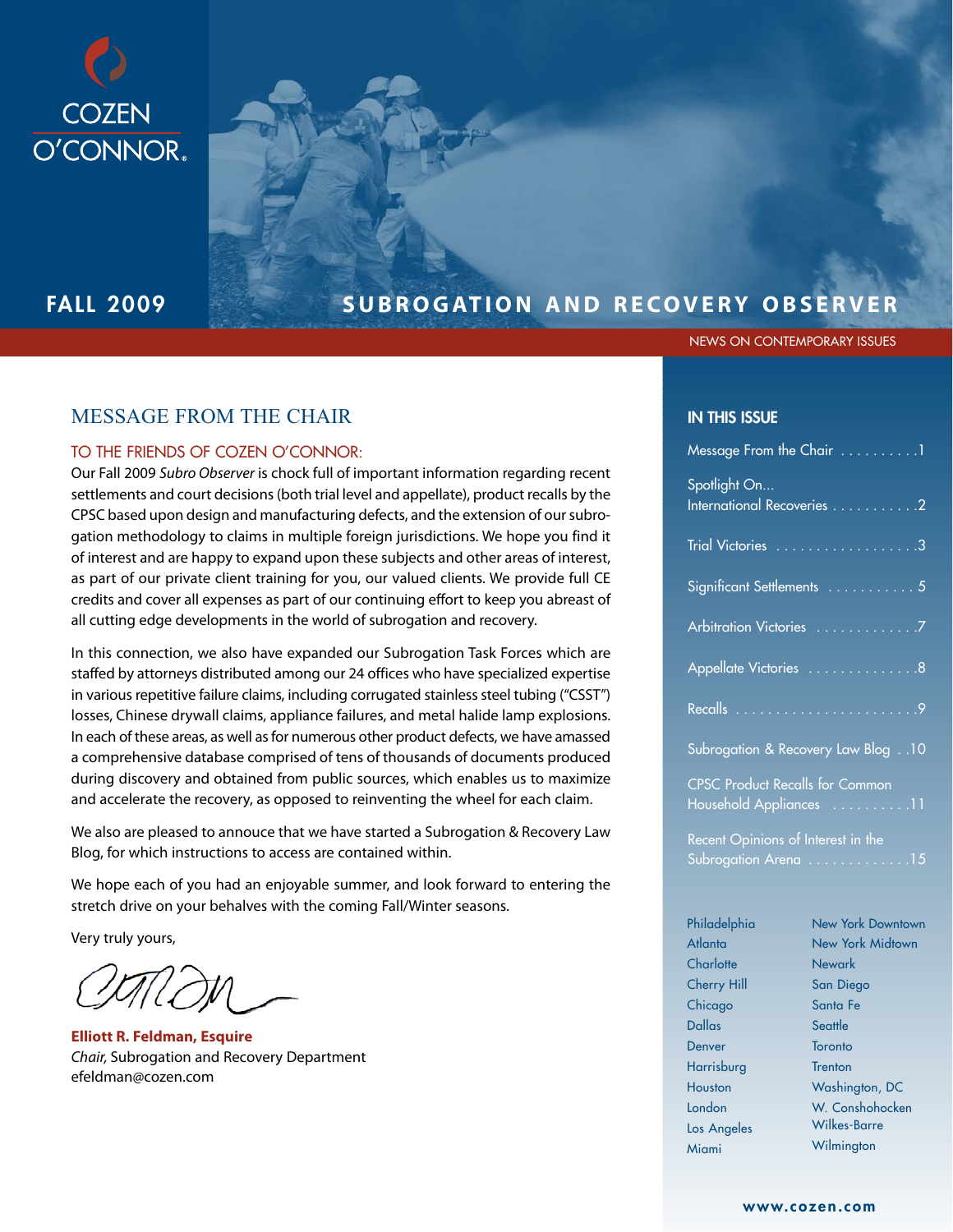

# FALL 2009 **SUBROGATION AND RECOVERY OBSERVER**

NEWS ON CONTEMPORARY ISSUES

## MESSAGE FROM THE CHAIR

#### TO THE FRIENDS OF COZEN O'CONNOR:

Our Fall 2009 Subro Observer is chock full of important information regarding recent settlements and court decisions (both trial level and appellate), product recalls by the CPSC based upon design and manufacturing defects, and the extension of our subrogation methodology to claims in multiple foreign jurisdictions. We hope you find it of interest and are happy to expand upon these subjects and other areas of interest, as part of our private client training for you, our valued clients. We provide full CE credits and cover all expenses as part of our continuing effort to keep you abreast of all cutting edge developments in the world of subrogation and recovery.

In this connection, we also have expanded our Subrogation Task Forces which are staffed by attorneys distributed among our 24 offices who have specialized expertise in various repetitive failure claims, including corrugated stainless steel tubing ("CSST") losses, Chinese drywall claims, appliance failures, and metal halide lamp explosions. In each of these areas, as well as for numerous other product defects, we have amassed a comprehensive database comprised of tens of thousands of documents produced during discovery and obtained from public sources, which enables us to maximize and accelerate the recovery, as opposed to reinventing the wheel for each claim.

We also are pleased to annouce that we have started a Subrogation & Recovery Law Blog, for which instructions to access are contained within.

We hope each of you had an enjoyable summer, and look forward to entering the stretch drive on your behalves with the coming Fall/Winter seasons.

Very truly yours,

**Elliott R. Feldman, Esquire** Chair, Subrogation and Recovery Department efeldman@cozen.com

#### IN THIS ISSUE

|                                                                                                         | Message From the Chair 1   |  |  |  |
|---------------------------------------------------------------------------------------------------------|----------------------------|--|--|--|
| Spotlight On                                                                                            | International Recoveries 2 |  |  |  |
|                                                                                                         | Trial Victories 3          |  |  |  |
|                                                                                                         | Significant Settlements  5 |  |  |  |
|                                                                                                         |                            |  |  |  |
|                                                                                                         | Appellate Victories 8      |  |  |  |
|                                                                                                         |                            |  |  |  |
| Subrogation & Recovery Law Blog 10<br><b>CPSC Product Recalls for Common</b><br>Household Appliances 11 |                            |  |  |  |
|                                                                                                         |                            |  |  |  |
|                                                                                                         |                            |  |  |  |
| Philadelphia                                                                                            | New York Downtown          |  |  |  |
| Atlanta                                                                                                 | New York Midtown           |  |  |  |
| Charlotte                                                                                               | Newark                     |  |  |  |
| <b>Cherry Hill</b>                                                                                      | San Diego                  |  |  |  |
| Chicago                                                                                                 | Santa Fe                   |  |  |  |
| <b>Dallas</b>                                                                                           | Seattle                    |  |  |  |

Toronto **Trenton** 

Washington, DC W. Conshohocken Wilkes-Barre **Wilmington** 

Denver **Harrisburg** Houston London Los Angeles Miami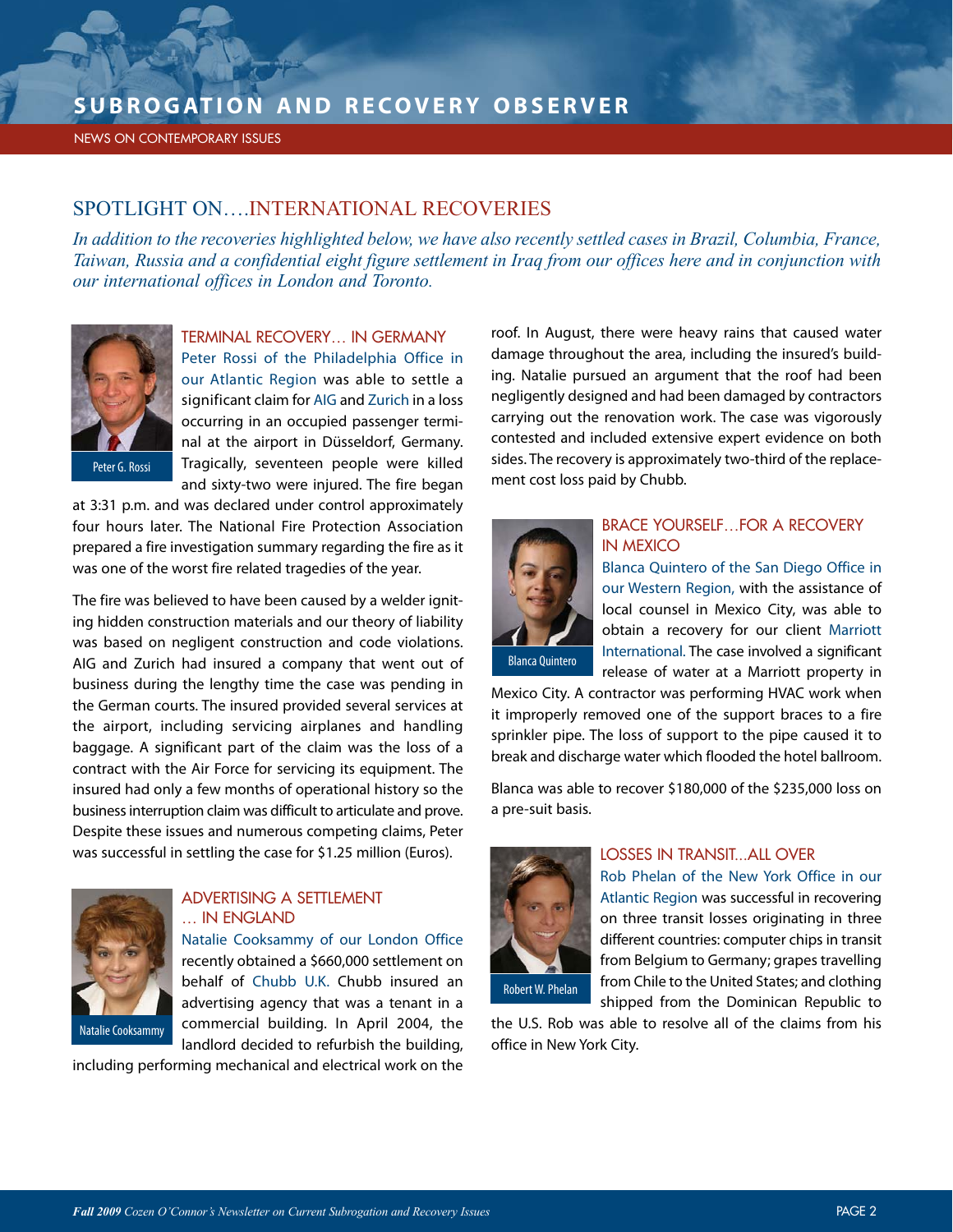NEWS ON CONTEMPORARY ISSUES

## SPOTLIGHT ON….INTERNATIONAL RECOVERIES

*In addition to the recoveries highlighted below, we have also recently settled cases in Brazil, Columbia, France, Taiwan, Russia and a confidential eight figure settlement in Iraq from our offices here and in conjunction with our international offices in London and Toronto.*



#### TERMINAL RECOVERY… IN GERMANY

Peter Rossi of the Philadelphia Office in our Atlantic Region was able to settle a significant claim for AIG and Zurich in a loss occurring in an occupied passenger terminal at the airport in Düsseldorf, Germany. Tragically, seventeen people were killed and sixty-two were injured. The fire began

at 3:31 p.m. and was declared under control approximately four hours later. The National Fire Protection Association prepared a fire investigation summary regarding the fire as it was one of the worst fire related tragedies of the year.

The fire was believed to have been caused by a welder igniting hidden construction materials and our theory of liability was based on negligent construction and code violations. AIG and Zurich had insured a company that went out of business during the lengthy time the case was pending in the German courts. The insured provided several services at the airport, including servicing airplanes and handling baggage. A significant part of the claim was the loss of a contract with the Air Force for servicing its equipment. The insured had only a few months of operational history so the business interruption claim was difficult to articulate and prove. Despite these issues and numerous competing claims, Peter was successful in settling the case for \$1.25 million (Euros).



### ADVERTISING A SETTLEMENT … IN ENGLAND

Natalie Cooksammy of our London Office recently obtained a \$660,000 settlement on behalf of Chubb U.K. Chubb insured an advertising agency that was a tenant in a commercial building. In April 2004, the landlord decided to refurbish the building,

including performing mechanical and electrical work on the

roof. In August, there were heavy rains that caused water damage throughout the area, including the insured's building. Natalie pursued an argument that the roof had been negligently designed and had been damaged by contractors carrying out the renovation work. The case was vigorously contested and included extensive expert evidence on both sides. The recovery is approximately two-third of the replacement cost loss paid by Chubb.



#### BRACE YOURSELF FOR A RECOVERY IN MEXICO

Blanca Quintero of the San Diego Office in our Western Region, with the assistance of local counsel in Mexico City, was able to obtain a recovery for our client Marriott International. The case involved a significant release of water at a Marriott property in

Mexico City. A contractor was performing HVAC work when it improperly removed one of the support braces to a fire sprinkler pipe. The loss of support to the pipe caused it to break and discharge water which flooded the hotel ballroom.

Blanca was able to recover \$180,000 of the \$235,000 loss on a pre-suit basis.



#### LOSSES IN TRANSIT...ALL OVER

Rob Phelan of the New York Office in our Atlantic Region was successful in recovering on three transit losses originating in three different countries: computer chips in transit from Belgium to Germany; grapes travelling from Chile to the United States; and clothing shipped from the Dominican Republic to

Robert W. Phelan

the U.S. Rob was able to resolve all of the claims from his office in New York City.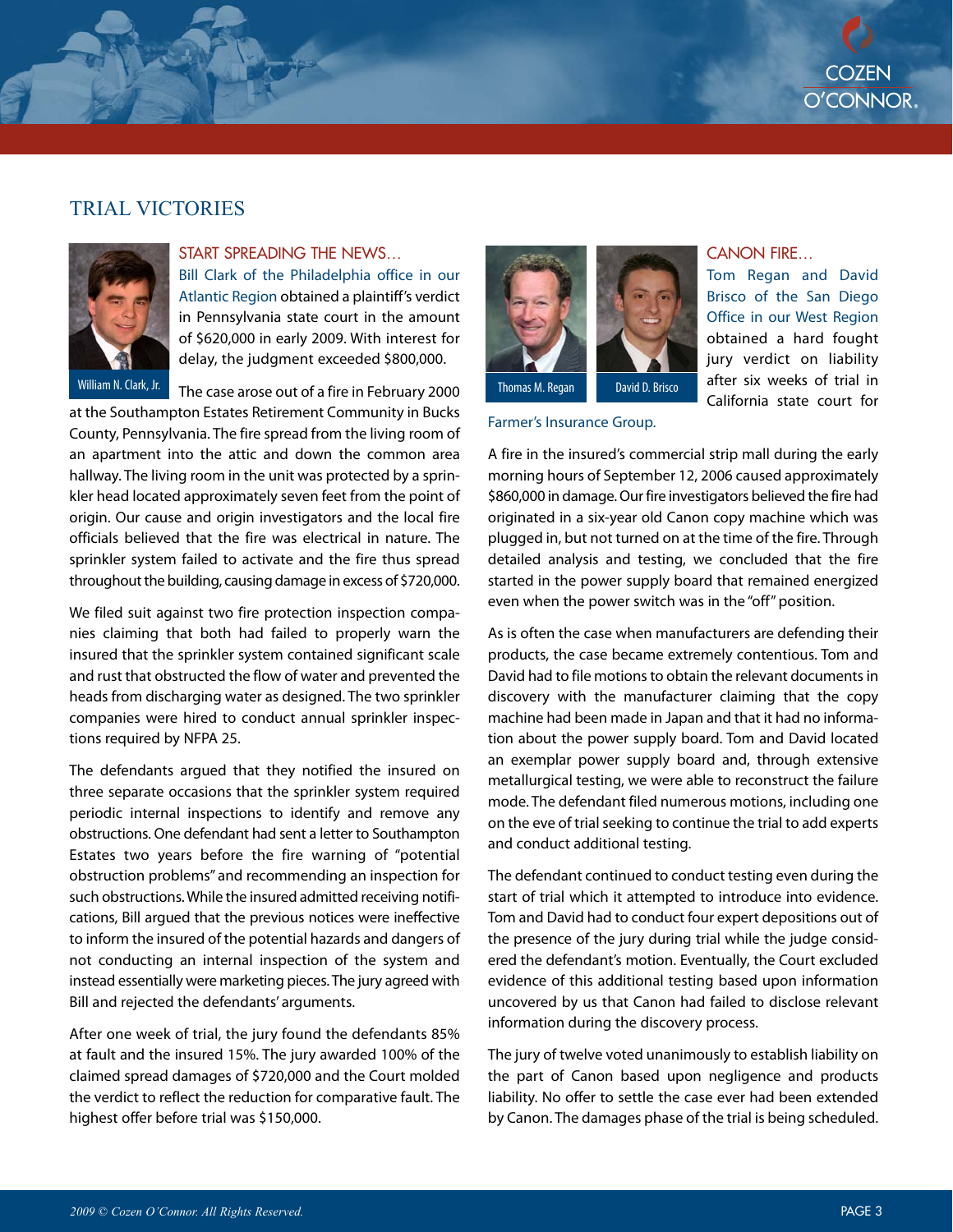## TRIAL VICTORIES



# START SPREADING THE NEWS…

Bill Clark of the Philadelphia office in our Atlantic Region obtained a plaintiff's verdict in Pennsylvania state court in the amount of \$620,000 in early 2009. With interest for delay, the judgment exceeded \$800,000.

William N. Clark, Jr. The case arose out of a fire in February 2000 Thomas M. Regan David D. Brisco at the Southampton Estates Retirement Community in Bucks County, Pennsylvania. The fire spread from the living room of an apartment into the attic and down the common area hallway. The living room in the unit was protected by a sprinkler head located approximately seven feet from the point of origin. Our cause and origin investigators and the local fire officials believed that the fire was electrical in nature. The sprinkler system failed to activate and the fire thus spread throughout the building, causing damage in excess of \$720,000.

We filed suit against two fire protection inspection companies claiming that both had failed to properly warn the insured that the sprinkler system contained significant scale and rust that obstructed the flow of water and prevented the heads from discharging water as designed. The two sprinkler companies were hired to conduct annual sprinkler inspections required by NFPA 25.

The defendants argued that they notified the insured on three separate occasions that the sprinkler system required periodic internal inspections to identify and remove any obstructions. One defendant had sent a letter to Southampton Estates two years before the fire warning of "potential obstruction problems" and recommending an inspection for such obstructions. While the insured admitted receiving notifications, Bill argued that the previous notices were ineffective to inform the insured of the potential hazards and dangers of not conducting an internal inspection of the system and instead essentially were marketing pieces. The jury agreed with Bill and rejected the defendants' arguments.

After one week of trial, the jury found the defendants 85% at fault and the insured 15%. The jury awarded 100% of the claimed spread damages of \$720,000 and the Court molded the verdict to reflect the reduction for comparative fault. The highest offer before trial was \$150,000.



Farmer's Insurance Group.

#### CANON FIRE…

Tom Regan and David Brisco of the San Diego Office in our West Region obtained a hard fought jury verdict on liability after six weeks of trial in California state court for

A fire in the insured's commercial strip mall during the early morning hours of September 12, 2006 caused approximately \$860,000 in damage. Our fire investigators believed the fire had originated in a six-year old Canon copy machine which was plugged in, but not turned on at the time of the fire. Through detailed analysis and testing, we concluded that the fire started in the power supply board that remained energized even when the power switch was in the "off" position.

As is often the case when manufacturers are defending their products, the case became extremely contentious. Tom and David had to file motions to obtain the relevant documents in discovery with the manufacturer claiming that the copy machine had been made in Japan and that it had no information about the power supply board. Tom and David located an exemplar power supply board and, through extensive metallurgical testing, we were able to reconstruct the failure mode. The defendant filed numerous motions, including one on the eve of trial seeking to continue the trial to add experts and conduct additional testing.

The defendant continued to conduct testing even during the start of trial which it attempted to introduce into evidence. Tom and David had to conduct four expert depositions out of the presence of the jury during trial while the judge considered the defendant's motion. Eventually, the Court excluded evidence of this additional testing based upon information uncovered by us that Canon had failed to disclose relevant information during the discovery process.

The jury of twelve voted unanimously to establish liability on the part of Canon based upon negligence and products liability. No offer to settle the case ever had been extended by Canon. The damages phase of the trial is being scheduled.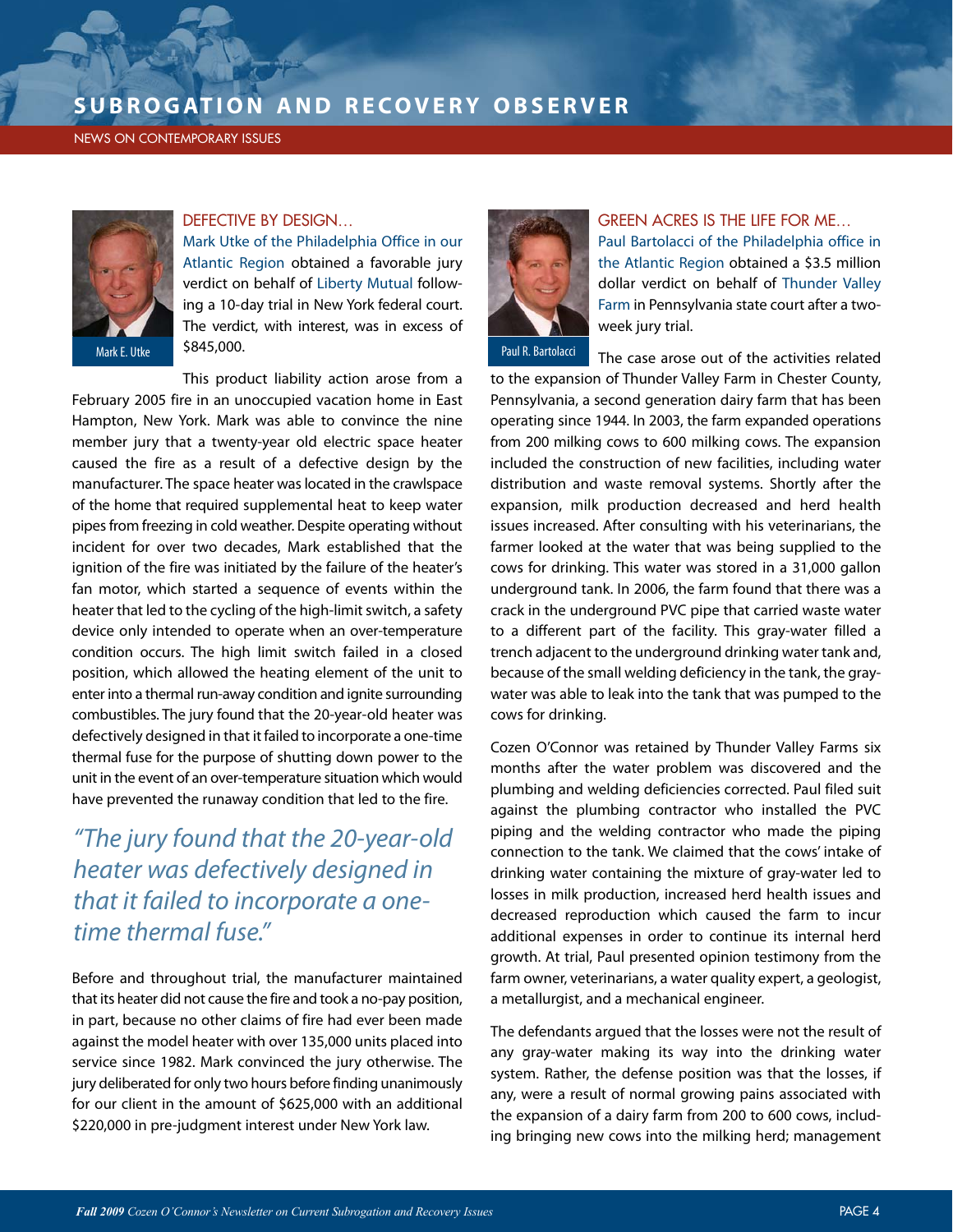#### NEWS ON CONTEMPORARY ISSUES



#### DEFECTIVE BY DESIGN…

Mark Utke of the Philadelphia Office in our Atlantic Region obtained a favorable jury verdict on behalf of Liberty Mutual following a 10-day trial in New York federal court. The verdict, with interest, was in excess of \$845,000. Mark E. Utke Paul R. Bartolacci

This product liability action arose from a February 2005 fire in an unoccupied vacation home in East Hampton, New York. Mark was able to convince the nine member jury that a twenty-year old electric space heater caused the fire as a result of a defective design by the manufacturer. The space heater was located in the crawlspace of the home that required supplemental heat to keep water pipes from freezing in cold weather. Despite operating without incident for over two decades, Mark established that the ignition of the fire was initiated by the failure of the heater's fan motor, which started a sequence of events within the heater that led to the cycling of the high-limit switch, a safety device only intended to operate when an over-temperature condition occurs. The high limit switch failed in a closed position, which allowed the heating element of the unit to enter into a thermal run-away condition and ignite surrounding combustibles. The jury found that the 20-year-old heater was defectively designed in that it failed to incorporate a one-time thermal fuse for the purpose of shutting down power to the unit in the event of an over-temperature situation which would have prevented the runaway condition that led to the fire.

# "The jury found that the 20-year-old heater was defectively designed in that it failed to incorporate a onetime thermal fuse."

Before and throughout trial, the manufacturer maintained that its heater did not cause the fire and took a no-pay position, in part, because no other claims of fire had ever been made against the model heater with over 135,000 units placed into service since 1982. Mark convinced the jury otherwise. The jury deliberated for only two hours before finding unanimously for our client in the amount of \$625,000 with an additional \$220,000 in pre-judgment interest under New York law.



#### GREEN ACRES IS THE LIFE FOR ME…

Paul Bartolacci of the Philadelphia office in the Atlantic Region obtained a \$3.5 million dollar verdict on behalf of Thunder Valley Farm in Pennsylvania state court after a twoweek jury trial.

The case arose out of the activities related to the expansion of Thunder Valley Farm in Chester County, Pennsylvania, a second generation dairy farm that has been operating since 1944. In 2003, the farm expanded operations from 200 milking cows to 600 milking cows. The expansion included the construction of new facilities, including water distribution and waste removal systems. Shortly after the expansion, milk production decreased and herd health issues increased. After consulting with his veterinarians, the farmer looked at the water that was being supplied to the cows for drinking. This water was stored in a 31,000 gallon underground tank. In 2006, the farm found that there was a crack in the underground PVC pipe that carried waste water to a different part of the facility. This gray-water filled a trench adjacent to the underground drinking water tank and, because of the small welding deficiency in the tank, the graywater was able to leak into the tank that was pumped to the cows for drinking.

Cozen O'Connor was retained by Thunder Valley Farms six months after the water problem was discovered and the plumbing and welding deficiencies corrected. Paul filed suit against the plumbing contractor who installed the PVC piping and the welding contractor who made the piping connection to the tank. We claimed that the cows' intake of drinking water containing the mixture of gray-water led to losses in milk production, increased herd health issues and decreased reproduction which caused the farm to incur additional expenses in order to continue its internal herd growth. At trial, Paul presented opinion testimony from the farm owner, veterinarians, a water quality expert, a geologist, a metallurgist, and a mechanical engineer.

The defendants argued that the losses were not the result of any gray-water making its way into the drinking water system. Rather, the defense position was that the losses, if any, were a result of normal growing pains associated with the expansion of a dairy farm from 200 to 600 cows, including bringing new cows into the milking herd; management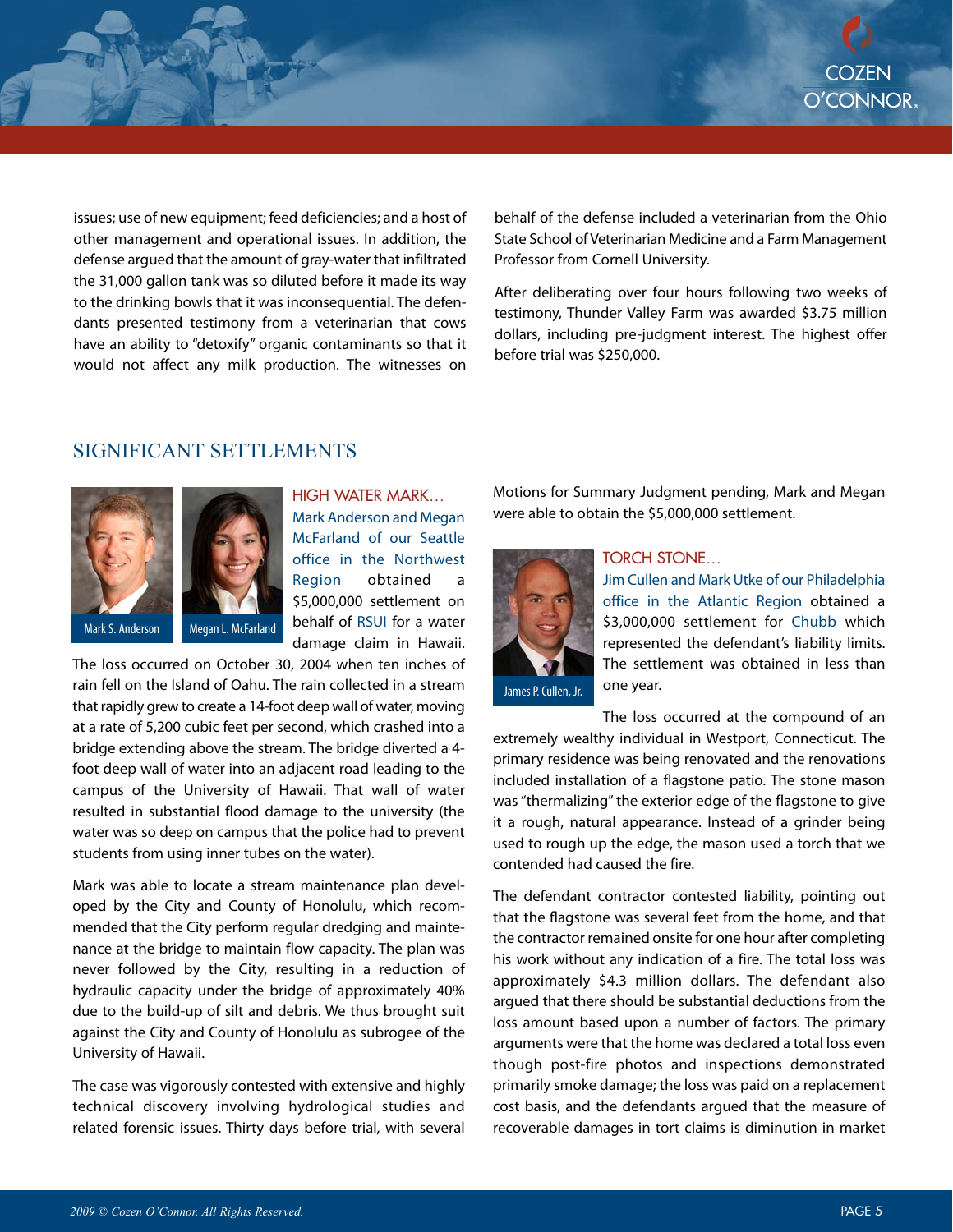issues; use of new equipment; feed deficiencies; and a host of other management and operational issues. In addition, the defense argued that the amount of gray-water that infiltrated the 31,000 gallon tank was so diluted before it made its way to the drinking bowls that it was inconsequential. The defendants presented testimony from a veterinarian that cows have an ability to "detoxify" organic contaminants so that it would not affect any milk production. The witnesses on

behalf of the defense included a veterinarian from the Ohio State School of Veterinarian Medicine and a Farm Management Professor from Cornell University.

After deliberating over four hours following two weeks of testimony, Thunder Valley Farm was awarded \$3.75 million dollars, including pre-judgment interest. The highest offer before trial was \$250,000.

## SIGNIFICANT SETTLEMENTS



HIGH WATER MARK… Mark Anderson and Megan McFarland of our Seattle office in the Northwest Region obtained a \$5,000,000 settlement on behalf of RSUI for a water damage claim in Hawaii.

The loss occurred on October 30, 2004 when ten inches of rain fell on the Island of Oahu. The rain collected in a stream that rapidly grew to create a 14-foot deep wall of water, moving at a rate of 5,200 cubic feet per second, which crashed into a bridge extending above the stream. The bridge diverted a 4 foot deep wall of water into an adjacent road leading to the campus of the University of Hawaii. That wall of water resulted in substantial flood damage to the university (the water was so deep on campus that the police had to prevent students from using inner tubes on the water).

Mark was able to locate a stream maintenance plan developed by the City and County of Honolulu, which recommended that the City perform regular dredging and maintenance at the bridge to maintain flow capacity. The plan was never followed by the City, resulting in a reduction of hydraulic capacity under the bridge of approximately 40% due to the build-up of silt and debris. We thus brought suit against the City and County of Honolulu as subrogee of the University of Hawaii.

The case was vigorously contested with extensive and highly technical discovery involving hydrological studies and related forensic issues. Thirty days before trial, with several Motions for Summary Judgment pending, Mark and Megan were able to obtain the \$5,000,000 settlement.



#### TORCH STONE…

Jim Cullen and Mark Utke of our Philadelphia office in the Atlantic Region obtained a \$3,000,000 settlement for Chubb which represented the defendant's liability limits. The settlement was obtained in less than one year.

James P. Cullen, Jr.

The loss occurred at the compound of an extremely wealthy individual in Westport, Connecticut. The primary residence was being renovated and the renovations included installation of a flagstone patio. The stone mason was "thermalizing" the exterior edge of the flagstone to give it a rough, natural appearance. Instead of a grinder being used to rough up the edge, the mason used a torch that we contended had caused the fire.

The defendant contractor contested liability, pointing out that the flagstone was several feet from the home, and that the contractor remained onsite for one hour after completing his work without any indication of a fire. The total loss was approximately \$4.3 million dollars. The defendant also argued that there should be substantial deductions from the loss amount based upon a number of factors. The primary arguments were that the home was declared a total loss even though post-fire photos and inspections demonstrated primarily smoke damage; the loss was paid on a replacement cost basis, and the defendants argued that the measure of recoverable damages in tort claims is diminution in market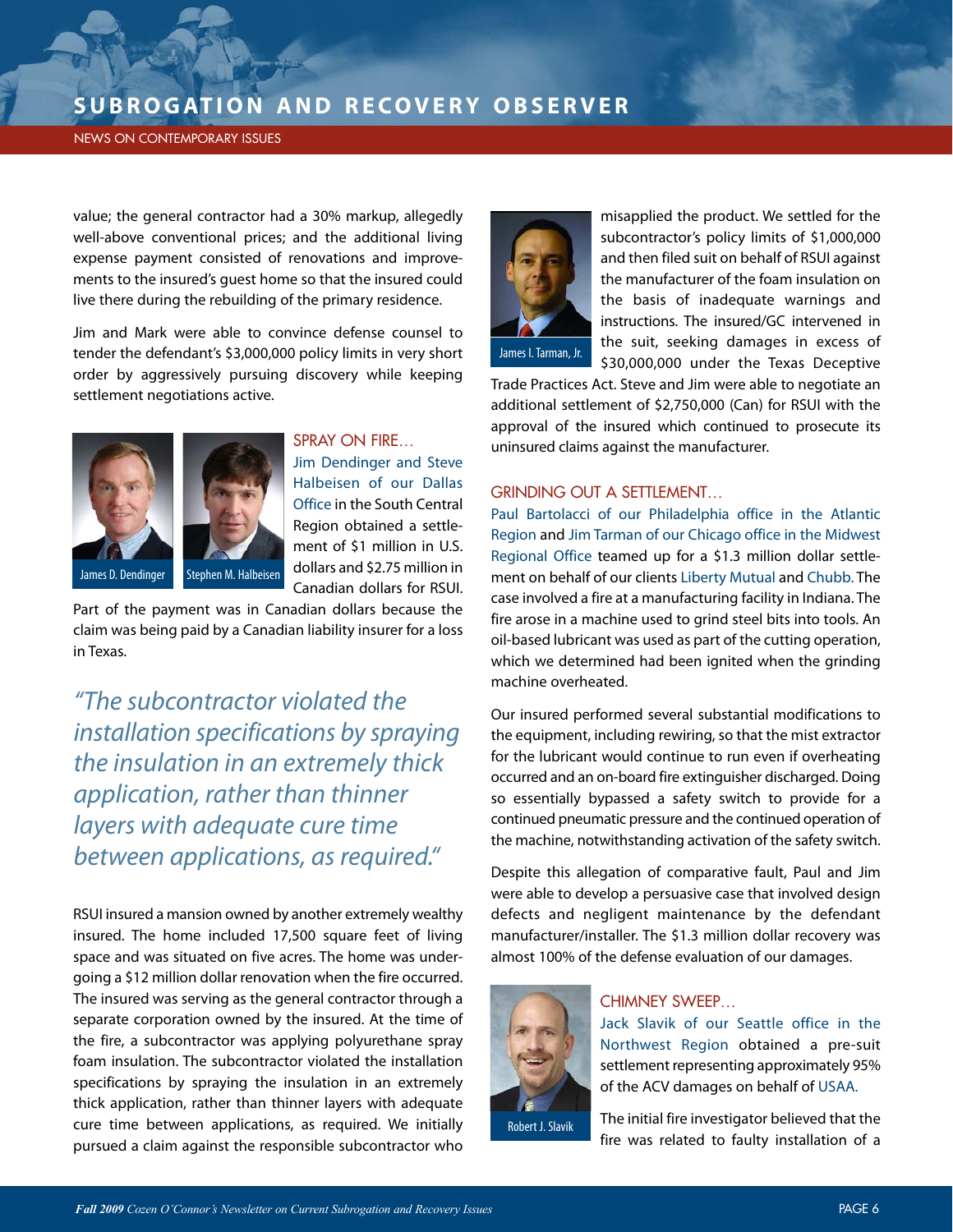#### NEWS ON CONTEMPORARY ISSUES

value; the general contractor had a 30% markup, allegedly well-above conventional prices; and the additional living expense payment consisted of renovations and improvements to the insured's guest home so that the insured could live there during the rebuilding of the primary residence.

Jim and Mark were able to convince defense counsel to tender the defendant's \$3,000,000 policy limits in very short order by aggressively pursuing discovery while keeping settlement negotiations active.





Part of the payment was in Canadian dollars because the claim was being paid by a Canadian liability insurer for a loss in Texas.

"The subcontractor violated the installation specifications by spraying the insulation in an extremely thick application, rather than thinner layers with adequate cure time between applications, as required."

RSUI insured a mansion owned by another extremely wealthy insured. The home included 17,500 square feet of living space and was situated on five acres. The home was undergoing a \$12 million dollar renovation when the fire occurred. The insured was serving as the general contractor through a separate corporation owned by the insured. At the time of the fire, a subcontractor was applying polyurethane spray foam insulation. The subcontractor violated the installation specifications by spraying the insulation in an extremely thick application, rather than thinner layers with adequate cure time between applications, as required. We initially pursued a claim against the responsible subcontractor who



misapplied the product. We settled for the subcontractor's policy limits of \$1,000,000 and then filed suit on behalf of RSUI against the manufacturer of the foam insulation on the basis of inadequate warnings and instructions. The insured/GC intervened in the suit, seeking damages in excess of \$30,000,000 under the Texas Deceptive

James I. Tarman, Jr.

Trade Practices Act. Steve and Jim were able to negotiate an additional settlement of \$2,750,000 (Can) for RSUI with the approval of the insured which continued to prosecute its uninsured claims against the manufacturer.

#### GRINDING OUT A SETTLEMENT…

Paul Bartolacci of our Philadelphia office in the Atlantic Region and Jim Tarman of our Chicago office in the Midwest Regional Office teamed up for a \$1.3 million dollar settlement on behalf of our clients Liberty Mutual and Chubb. The case involved a fire at a manufacturing facility in Indiana. The fire arose in a machine used to grind steel bits into tools. An oil-based lubricant was used as part of the cutting operation, which we determined had been ignited when the grinding machine overheated.

Our insured performed several substantial modifications to the equipment, including rewiring, so that the mist extractor for the lubricant would continue to run even if overheating occurred and an on-board fire extinguisher discharged. Doing so essentially bypassed a safety switch to provide for a continued pneumatic pressure and the continued operation of the machine, notwithstanding activation of the safety switch.

Despite this allegation of comparative fault, Paul and Jim were able to develop a persuasive case that involved design defects and negligent maintenance by the defendant manufacturer/installer. The \$1.3 million dollar recovery was almost 100% of the defense evaluation of our damages.



### CHIMNEY SWEEP…

Jack Slavik of our Seattle office in the Northwest Region obtained a pre-suit settlement representing approximately 95% of the ACV damages on behalf of USAA.

The initial fire investigator believed that the fire was related to faulty installation of a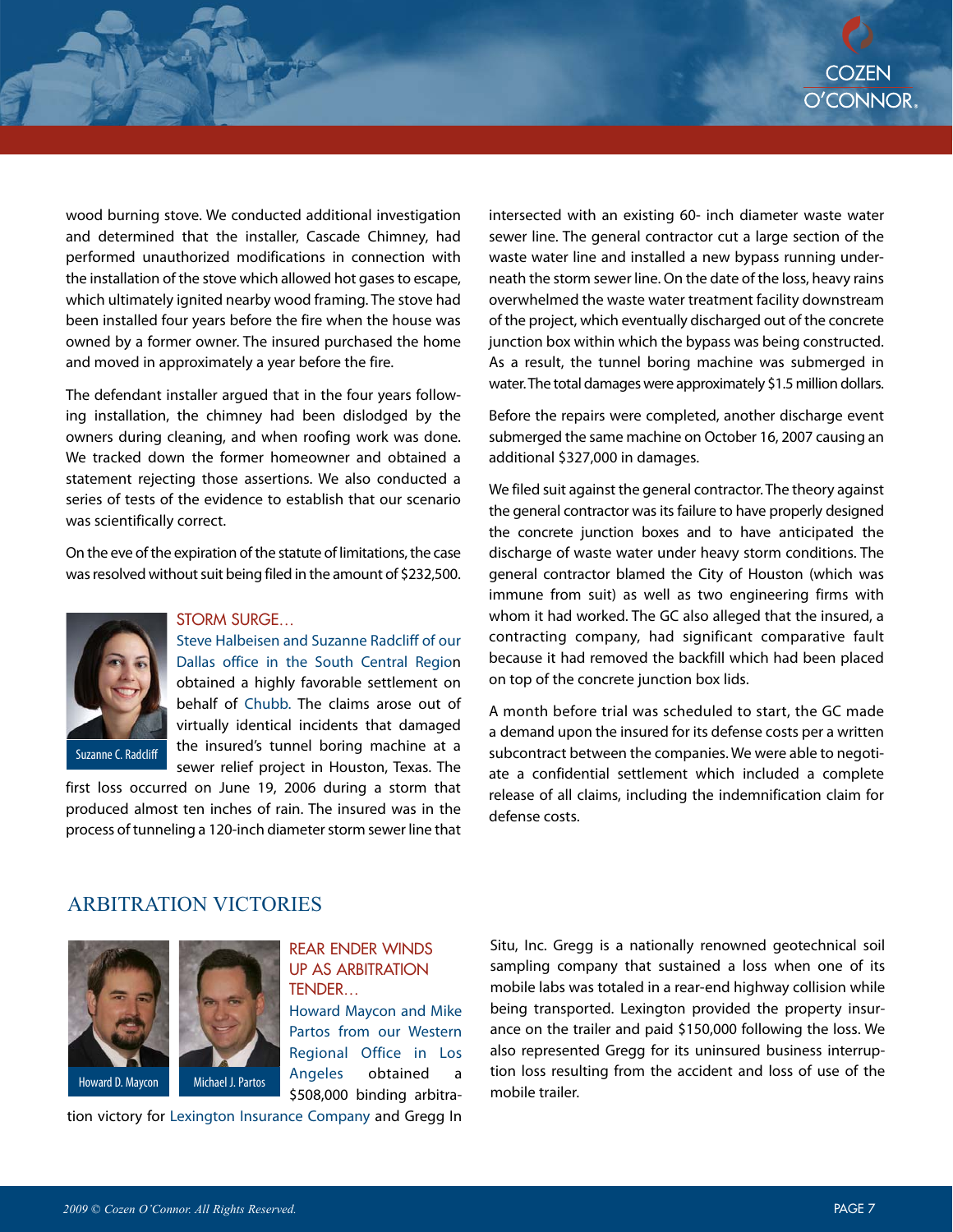wood burning stove. We conducted additional investigation and determined that the installer, Cascade Chimney, had performed unauthorized modifications in connection with the installation of the stove which allowed hot gases to escape, which ultimately ignited nearby wood framing. The stove had been installed four years before the fire when the house was owned by a former owner. The insured purchased the home and moved in approximately a year before the fire.

The defendant installer argued that in the four years following installation, the chimney had been dislodged by the owners during cleaning, and when roofing work was done. We tracked down the former homeowner and obtained a statement rejecting those assertions. We also conducted a series of tests of the evidence to establish that our scenario was scientifically correct.

On the eve of the expiration of the statute of limitations, the case was resolved without suit being filed in the amount of \$232,500.



#### STORM SURGE…

Steve Halbeisen and Suzanne Radcliff of our Dallas office in the South Central Region obtained a highly favorable settlement on behalf of Chubb. The claims arose out of virtually identical incidents that damaged the insured's tunnel boring machine at a sewer relief project in Houston, Texas. The

first loss occurred on June 19, 2006 during a storm that produced almost ten inches of rain. The insured was in the process of tunneling a 120-inch diameter storm sewer line that

intersected with an existing 60- inch diameter waste water sewer line. The general contractor cut a large section of the waste water line and installed a new bypass running underneath the storm sewer line. On the date of the loss, heavy rains overwhelmed the waste water treatment facility downstream of the project, which eventually discharged out of the concrete junction box within which the bypass was being constructed. As a result, the tunnel boring machine was submerged in water. The total damages were approximately \$1.5 million dollars.

Before the repairs were completed, another discharge event submerged the same machine on October 16, 2007 causing an additional \$327,000 in damages.

We filed suit against the general contractor. The theory against the general contractor was its failure to have properly designed the concrete junction boxes and to have anticipated the discharge of waste water under heavy storm conditions. The general contractor blamed the City of Houston (which was immune from suit) as well as two engineering firms with whom it had worked. The GC also alleged that the insured, a contracting company, had significant comparative fault because it had removed the backfill which had been placed on top of the concrete junction box lids.

A month before trial was scheduled to start, the GC made a demand upon the insured for its defense costs per a written subcontract between the companies. We were able to negotiate a confidential settlement which included a complete release of all claims, including the indemnification claim for defense costs.

#### ARBITRATION VICTORIES



#### REAR ENDER WINDS UP AS ARBITRATION TENDER…

Howard Maycon and Mike Partos from our Western Regional Office in Los Angeles obtained a \$508,000 binding arbitra-

tion victory for Lexington Insurance Company and Gregg In

Situ, Inc. Gregg is a nationally renowned geotechnical soil sampling company that sustained a loss when one of its mobile labs was totaled in a rear-end highway collision while being transported. Lexington provided the property insurance on the trailer and paid \$150,000 following the loss. We also represented Gregg for its uninsured business interruption loss resulting from the accident and loss of use of the mobile trailer.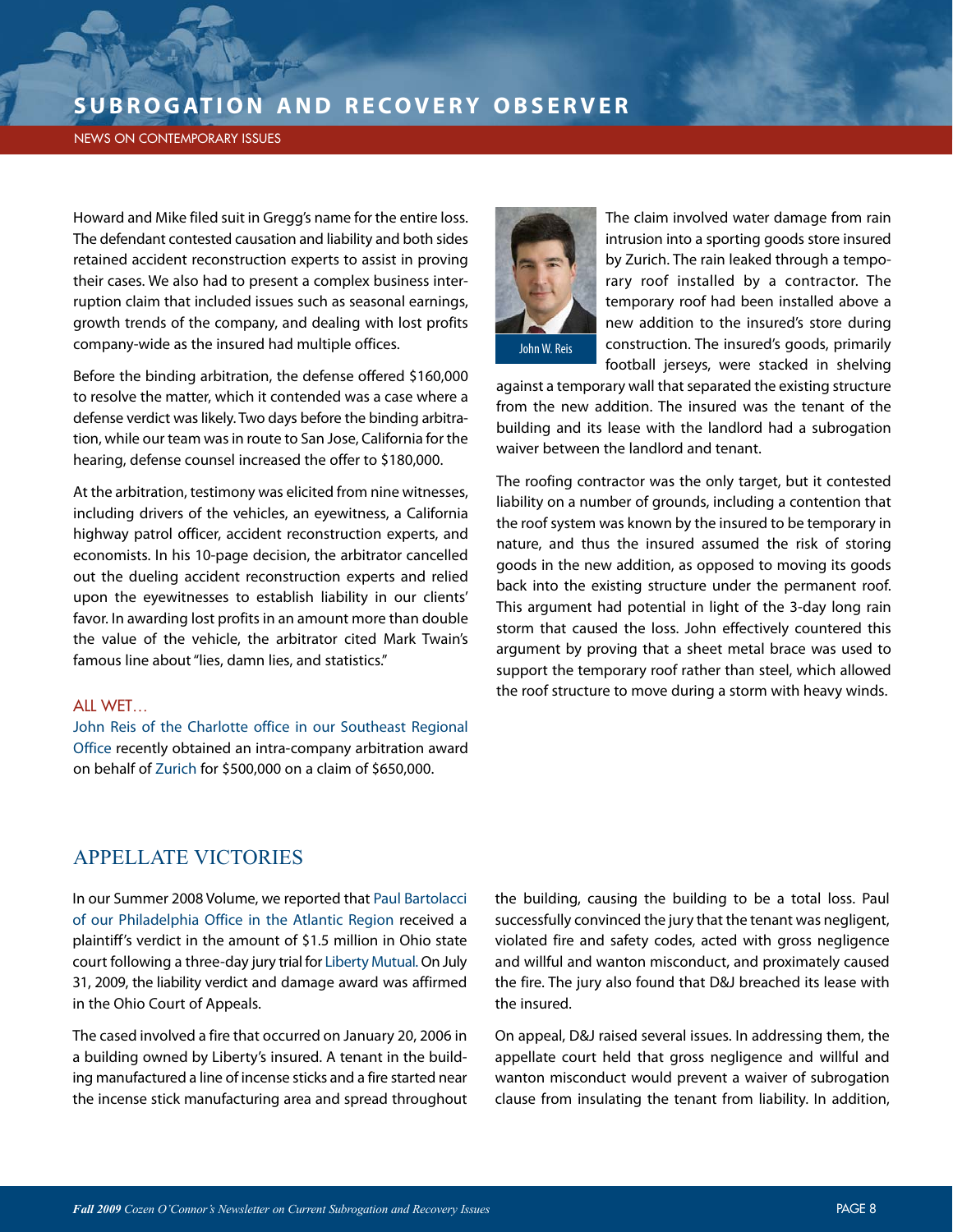#### NEWS ON CONTEMPORARY ISSUES

Howard and Mike filed suit in Gregg's name for the entire loss. The defendant contested causation and liability and both sides retained accident reconstruction experts to assist in proving their cases. We also had to present a complex business interruption claim that included issues such as seasonal earnings, growth trends of the company, and dealing with lost profits company-wide as the insured had multiple offices.

Before the binding arbitration, the defense offered \$160,000 to resolve the matter, which it contended was a case where a defense verdict was likely. Two days before the binding arbitration, while our team was in route to San Jose, California for the hearing, defense counsel increased the offer to \$180,000.

At the arbitration, testimony was elicited from nine witnesses, including drivers of the vehicles, an eyewitness, a California highway patrol officer, accident reconstruction experts, and economists. In his 10-page decision, the arbitrator cancelled out the dueling accident reconstruction experts and relied upon the eyewitnesses to establish liability in our clients' favor. In awarding lost profits in an amount more than double the value of the vehicle, the arbitrator cited Mark Twain's famous line about "lies, damn lies, and statistics."

#### ALL WET…

John Reis of the Charlotte office in our Southeast Regional Office recently obtained an intra-company arbitration award on behalf of Zurich for \$500,000 on a claim of \$650,000.



The claim involved water damage from rain intrusion into a sporting goods store insured by Zurich. The rain leaked through a temporary roof installed by a contractor. The temporary roof had been installed above a new addition to the insured's store during construction. The insured's goods, primarily football jerseys, were stacked in shelving

against a temporary wall that separated the existing structure from the new addition. The insured was the tenant of the building and its lease with the landlord had a subrogation waiver between the landlord and tenant.

The roofing contractor was the only target, but it contested liability on a number of grounds, including a contention that the roof system was known by the insured to be temporary in nature, and thus the insured assumed the risk of storing goods in the new addition, as opposed to moving its goods back into the existing structure under the permanent roof. This argument had potential in light of the 3-day long rain storm that caused the loss. John effectively countered this argument by proving that a sheet metal brace was used to support the temporary roof rather than steel, which allowed the roof structure to move during a storm with heavy winds.

### APPELLATE VICTORIES

In our Summer 2008 Volume, we reported that Paul Bartolacci of our Philadelphia Office in the Atlantic Region received a plaintiff's verdict in the amount of \$1.5 million in Ohio state court following a three-day jury trial for Liberty Mutual.On July 31, 2009, the liability verdict and damage award was affirmed in the Ohio Court of Appeals.

The cased involved a fire that occurred on January 20, 2006 in a building owned by Liberty's insured. A tenant in the building manufactured a line of incense sticks and a fire started near the incense stick manufacturing area and spread throughout

the building, causing the building to be a total loss. Paul successfully convinced the jury that the tenant was negligent, violated fire and safety codes, acted with gross negligence and willful and wanton misconduct, and proximately caused the fire. The jury also found that D&J breached its lease with the insured.

On appeal, D&J raised several issues. In addressing them, the appellate court held that gross negligence and willful and wanton misconduct would prevent a waiver of subrogation clause from insulating the tenant from liability. In addition,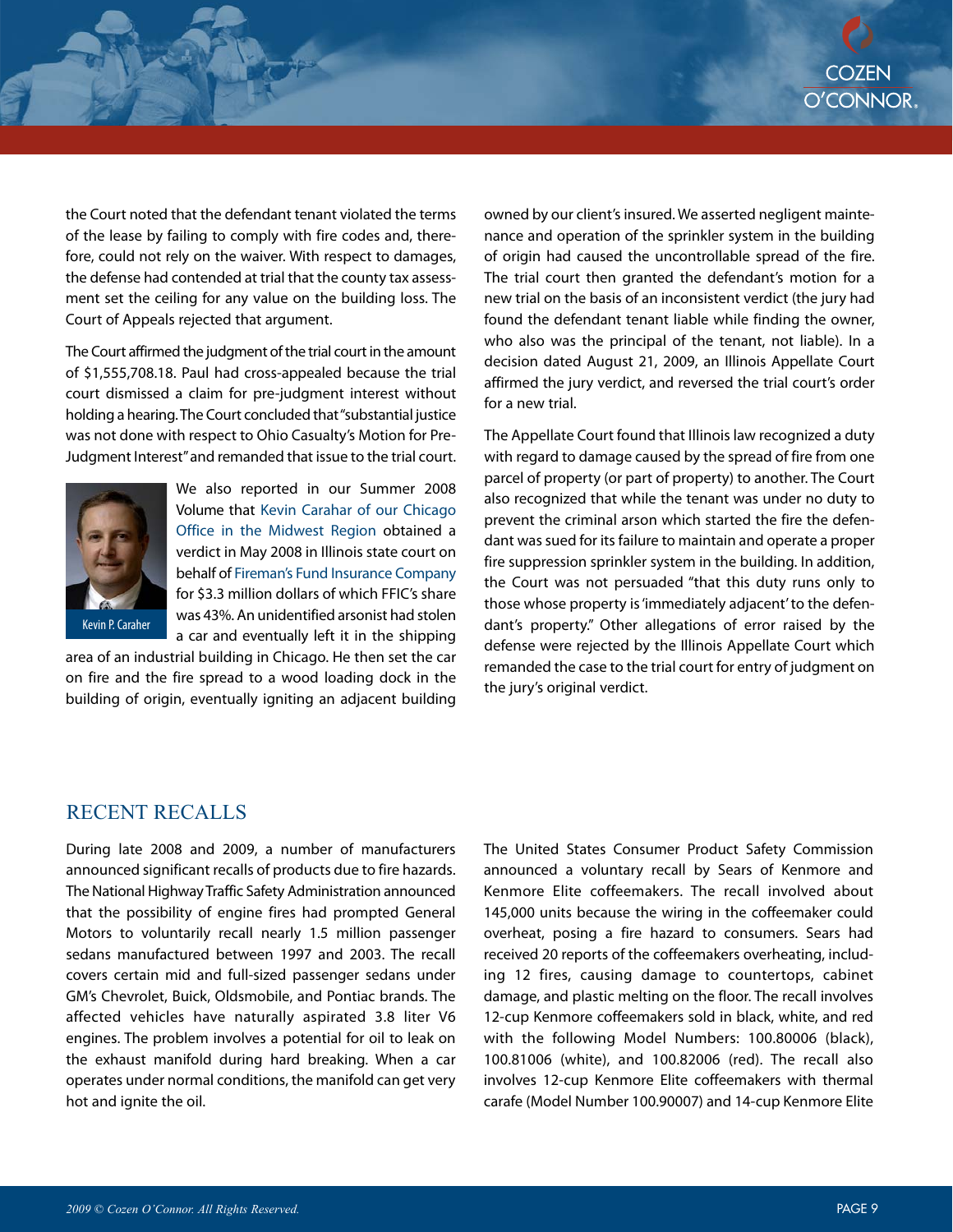the Court noted that the defendant tenant violated the terms of the lease by failing to comply with fire codes and, therefore, could not rely on the waiver. With respect to damages, the defense had contended at trial that the county tax assessment set the ceiling for any value on the building loss. The Court of Appeals rejected that argument.

The Court affirmed the judgment of the trial court in the amount of \$1,555,708.18. Paul had cross-appealed because the trial court dismissed a claim for pre-judgment interest without holding a hearing. The Court concluded that "substantial justice was not done with respect to Ohio Casualty's Motion for Pre-Judgment Interest"and remanded that issue to the trial court.



We also reported in our Summer 2008 Volume that Kevin Carahar of our Chicago Office in the Midwest Region obtained a verdict in May 2008 in Illinois state court on behalf of Fireman's Fund Insurance Company for \$3.3 million dollars of which FFIC's share was 43%. An unidentified arsonist had stolen a car and eventually left it in the shipping

area of an industrial building in Chicago. He then set the car on fire and the fire spread to a wood loading dock in the building of origin, eventually igniting an adjacent building owned by our client's insured. We asserted negligent maintenance and operation of the sprinkler system in the building of origin had caused the uncontrollable spread of the fire. The trial court then granted the defendant's motion for a new trial on the basis of an inconsistent verdict (the jury had found the defendant tenant liable while finding the owner, who also was the principal of the tenant, not liable). In a decision dated August 21, 2009, an Illinois Appellate Court affirmed the jury verdict, and reversed the trial court's order for a new trial.

The Appellate Court found that Illinois law recognized a duty with regard to damage caused by the spread of fire from one parcel of property (or part of property) to another. The Court also recognized that while the tenant was under no duty to prevent the criminal arson which started the fire the defendant was sued for its failure to maintain and operate a proper fire suppression sprinkler system in the building. In addition, the Court was not persuaded "that this duty runs only to those whose property is 'immediately adjacent' to the defendant's property." Other allegations of error raised by the defense were rejected by the Illinois Appellate Court which remanded the case to the trial court for entry of judgment on the jury's original verdict.

### RECENT RECALLS

During late 2008 and 2009, a number of manufacturers announced significant recalls of products due to fire hazards. The National Highway Traffic Safety Administration announced that the possibility of engine fires had prompted General Motors to voluntarily recall nearly 1.5 million passenger sedans manufactured between 1997 and 2003. The recall covers certain mid and full-sized passenger sedans under GM's Chevrolet, Buick, Oldsmobile, and Pontiac brands. The affected vehicles have naturally aspirated 3.8 liter V6 engines. The problem involves a potential for oil to leak on the exhaust manifold during hard breaking. When a car operates under normal conditions, the manifold can get very hot and ignite the oil.

The United States Consumer Product Safety Commission announced a voluntary recall by Sears of Kenmore and Kenmore Elite coffeemakers. The recall involved about 145,000 units because the wiring in the coffeemaker could overheat, posing a fire hazard to consumers. Sears had received 20 reports of the coffeemakers overheating, including 12 fires, causing damage to countertops, cabinet damage, and plastic melting on the floor. The recall involves 12-cup Kenmore coffeemakers sold in black, white, and red with the following Model Numbers: 100.80006 (black), 100.81006 (white), and 100.82006 (red). The recall also involves 12-cup Kenmore Elite coffeemakers with thermal carafe (Model Number 100.90007) and 14-cup Kenmore Elite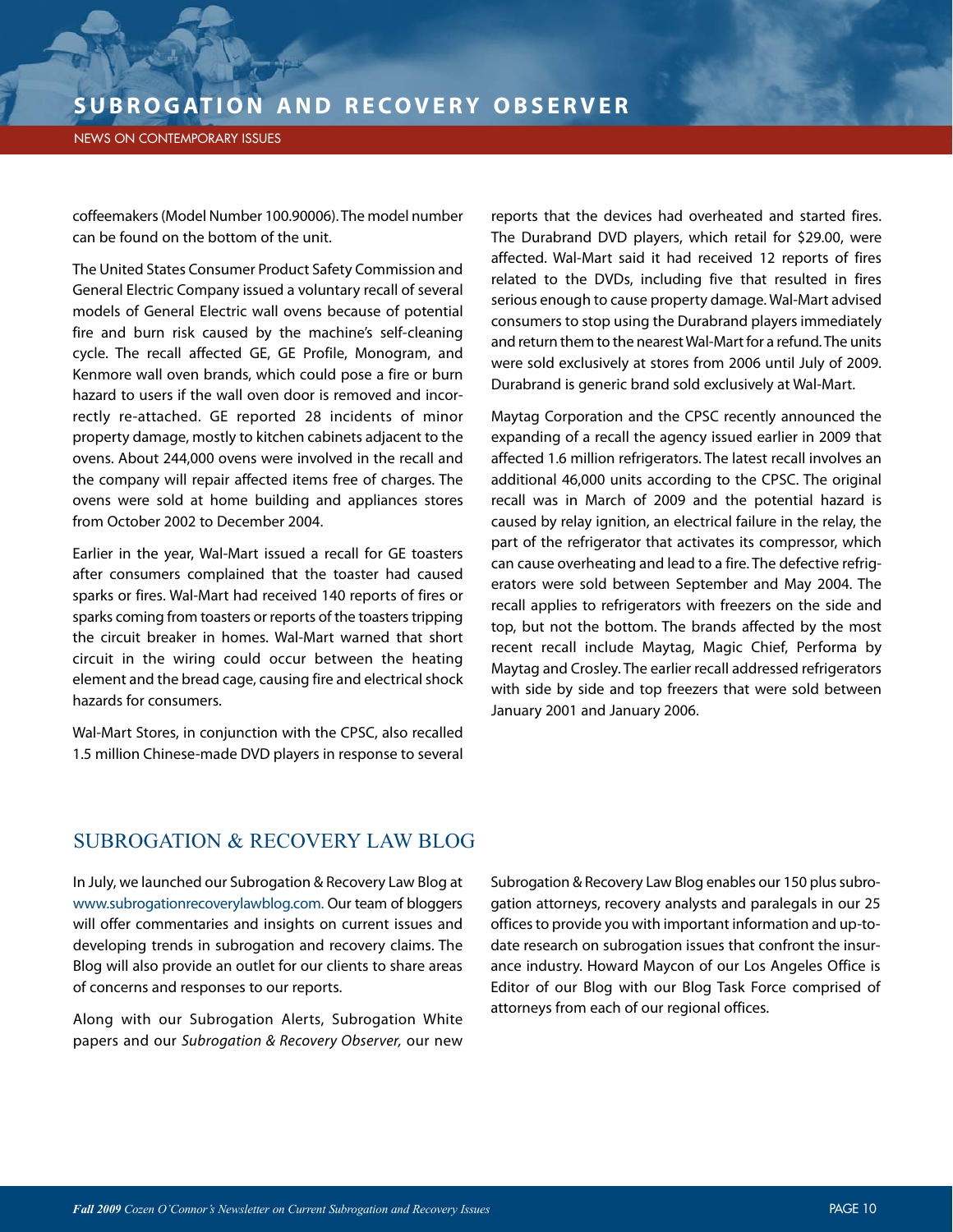NEWS ON CONTEMPORARY ISSUES

coffeemakers (Model Number 100.90006). The model number can be found on the bottom of the unit.

The United States Consumer Product Safety Commission and General Electric Company issued a voluntary recall of several models of General Electric wall ovens because of potential fire and burn risk caused by the machine's self-cleaning cycle. The recall affected GE, GE Profile, Monogram, and Kenmore wall oven brands, which could pose a fire or burn hazard to users if the wall oven door is removed and incorrectly re-attached. GE reported 28 incidents of minor property damage, mostly to kitchen cabinets adjacent to the ovens. About 244,000 ovens were involved in the recall and the company will repair affected items free of charges. The ovens were sold at home building and appliances stores from October 2002 to December 2004.

Earlier in the year, Wal-Mart issued a recall for GE toasters after consumers complained that the toaster had caused sparks or fires. Wal-Mart had received 140 reports of fires or sparks coming from toasters or reports of the toasters tripping the circuit breaker in homes. Wal-Mart warned that short circuit in the wiring could occur between the heating element and the bread cage, causing fire and electrical shock hazards for consumers.

Wal-Mart Stores, in conjunction with the CPSC, also recalled 1.5 million Chinese-made DVD players in response to several

reports that the devices had overheated and started fires. The Durabrand DVD players, which retail for \$29.00, were affected. Wal-Mart said it had received 12 reports of fires related to the DVDs, including five that resulted in fires serious enough to cause property damage. Wal-Mart advised consumers to stop using the Durabrand players immediately and return them to the nearest Wal-Mart for a refund. The units were sold exclusively at stores from 2006 until July of 2009. Durabrand is generic brand sold exclusively at Wal-Mart.

Maytag Corporation and the CPSC recently announced the expanding of a recall the agency issued earlier in 2009 that affected 1.6 million refrigerators. The latest recall involves an additional 46,000 units according to the CPSC. The original recall was in March of 2009 and the potential hazard is caused by relay ignition, an electrical failure in the relay, the part of the refrigerator that activates its compressor, which can cause overheating and lead to a fire. The defective refrigerators were sold between September and May 2004. The recall applies to refrigerators with freezers on the side and top, but not the bottom. The brands affected by the most recent recall include Maytag, Magic Chief, Performa by Maytag and Crosley. The earlier recall addressed refrigerators with side by side and top freezers that were sold between January 2001 and January 2006.

## SUBROGATION & RECOVERY LAW BLOG

In July, we launched our Subrogation & Recovery Law Blog at www.subrogationrecoverylawblog.com. Our team of bloggers will offer commentaries and insights on current issues and developing trends in subrogation and recovery claims. The Blog will also provide an outlet for our clients to share areas of concerns and responses to our reports.

Along with our Subrogation Alerts, Subrogation White papers and our Subrogation & Recovery Observer, our new Subrogation & Recovery Law Blog enables our 150 plus subrogation attorneys, recovery analysts and paralegals in our 25 offices to provide you with important information and up-todate research on subrogation issues that confront the insurance industry. Howard Maycon of our Los Angeles Office is Editor of our Blog with our Blog Task Force comprised of attorneys from each of our regional offices.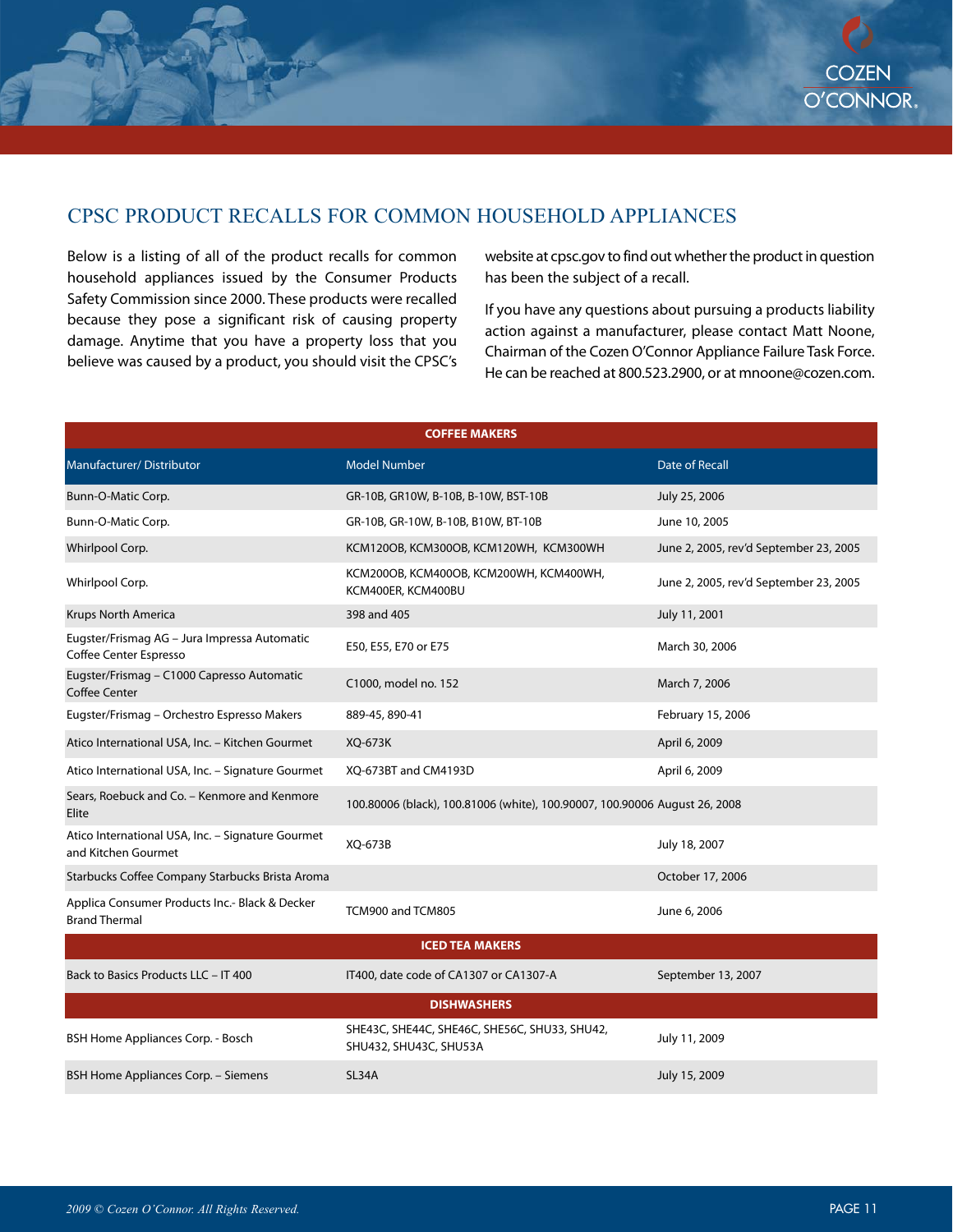## CPSC PRODUCT RECALLS FOR COMMON HOUSEHOLD APPLIANCES

Below is a listing of all of the product recalls for common household appliances issued by the Consumer Products Safety Commission since 2000. These products were recalled because they pose a significant risk of causing property damage. Anytime that you have a property loss that you believe was caused by a product, you should visit the CPSC's

website at cpsc.gov to find out whether the product in question has been the subject of a recall.

If you have any questions about pursuing a products liability action against a manufacturer, please contact Matt Noone, Chairman of the Cozen O'Connor Appliance Failure Task Force. He can be reached at 800.523.2900, or at mnoone@cozen.com.

| <b>COFFEE MAKERS</b>                                                     |                                                                            |                                        |  |  |
|--------------------------------------------------------------------------|----------------------------------------------------------------------------|----------------------------------------|--|--|
| Manufacturer/Distributor                                                 | <b>Model Number</b>                                                        | <b>Date of Recall</b>                  |  |  |
| Bunn-O-Matic Corp.                                                       | GR-10B, GR10W, B-10B, B-10W, BST-10B                                       | July 25, 2006                          |  |  |
| Bunn-O-Matic Corp.                                                       | GR-10B, GR-10W, B-10B, B10W, BT-10B                                        | June 10, 2005                          |  |  |
| Whirlpool Corp.                                                          | KCM120OB, KCM300OB, KCM120WH, KCM300WH                                     | June 2, 2005, rev'd September 23, 2005 |  |  |
| Whirlpool Corp.                                                          | KCM200OB, KCM400OB, KCM200WH, KCM400WH,<br>KCM400ER, KCM400BU              | June 2, 2005, rev'd September 23, 2005 |  |  |
| <b>Krups North America</b>                                               | 398 and 405                                                                | July 11, 2001                          |  |  |
| Eugster/Frismag AG - Jura Impressa Automatic<br>Coffee Center Espresso   | E50, E55, E70 or E75                                                       | March 30, 2006                         |  |  |
| Eugster/Frismag - C1000 Capresso Automatic<br><b>Coffee Center</b>       | C1000, model no. 152                                                       | March 7, 2006                          |  |  |
| Eugster/Frismag - Orchestro Espresso Makers                              | 889-45, 890-41                                                             | February 15, 2006                      |  |  |
| Atico International USA, Inc. - Kitchen Gourmet                          | XQ-673K                                                                    | April 6, 2009                          |  |  |
| Atico International USA, Inc. - Signature Gourmet                        | XQ-673BT and CM4193D                                                       | April 6, 2009                          |  |  |
| Sears, Roebuck and Co. - Kenmore and Kenmore<br>Elite                    | 100.80006 (black), 100.81006 (white), 100.90007, 100.90006 August 26, 2008 |                                        |  |  |
| Atico International USA, Inc. - Signature Gourmet<br>and Kitchen Gourmet | XQ-673B                                                                    | July 18, 2007                          |  |  |
| Starbucks Coffee Company Starbucks Brista Aroma                          |                                                                            | October 17, 2006                       |  |  |
| Applica Consumer Products Inc.- Black & Decker<br><b>Brand Thermal</b>   | TCM900 and TCM805                                                          | June 6, 2006                           |  |  |
| <b>ICED TEA MAKERS</b>                                                   |                                                                            |                                        |  |  |
| Back to Basics Products LLC - IT 400                                     | IT400, date code of CA1307 or CA1307-A                                     | September 13, 2007                     |  |  |
| <b>DISHWASHERS</b>                                                       |                                                                            |                                        |  |  |
| BSH Home Appliances Corp. - Bosch                                        | SHE43C, SHE44C, SHE46C, SHE56C, SHU33, SHU42,<br>SHU432, SHU43C, SHU53A    | July 11, 2009                          |  |  |
| BSH Home Appliances Corp. - Siemens                                      | SL34A                                                                      | July 15, 2009                          |  |  |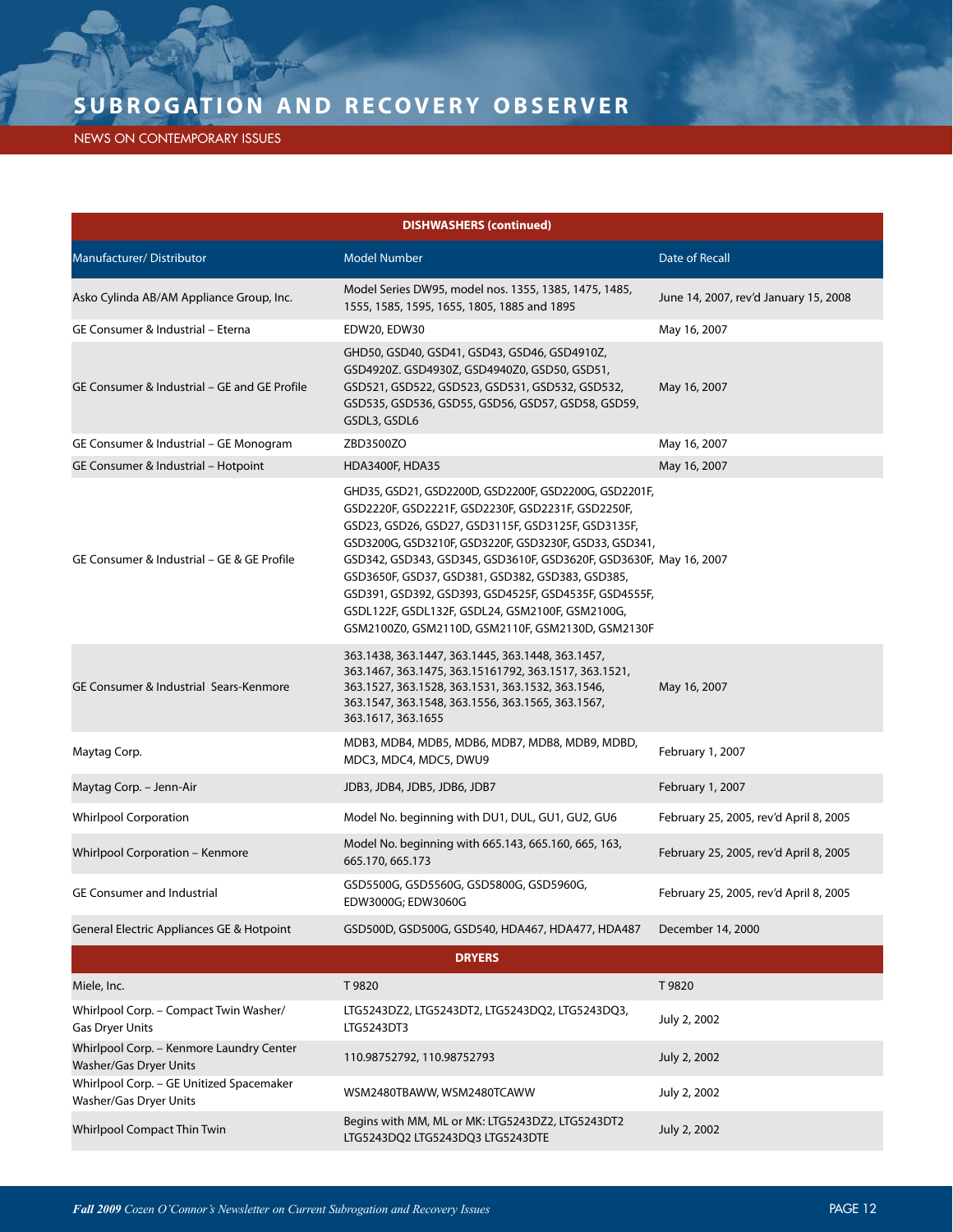NEWS ON CONTEMPORARY ISSUES

| <b>DISHWASHERS (continued)</b>                                     |                                                                                                                                                                                                                                                                                                                                                                                                                                                                                                                       |                                        |  |  |
|--------------------------------------------------------------------|-----------------------------------------------------------------------------------------------------------------------------------------------------------------------------------------------------------------------------------------------------------------------------------------------------------------------------------------------------------------------------------------------------------------------------------------------------------------------------------------------------------------------|----------------------------------------|--|--|
| Manufacturer/Distributor                                           | <b>Model Number</b>                                                                                                                                                                                                                                                                                                                                                                                                                                                                                                   | <b>Date of Recall</b>                  |  |  |
| Asko Cylinda AB/AM Appliance Group, Inc.                           | Model Series DW95, model nos. 1355, 1385, 1475, 1485,<br>1555, 1585, 1595, 1655, 1805, 1885 and 1895                                                                                                                                                                                                                                                                                                                                                                                                                  | June 14, 2007, rev'd January 15, 2008  |  |  |
| GE Consumer & Industrial - Eterna                                  | EDW20, EDW30                                                                                                                                                                                                                                                                                                                                                                                                                                                                                                          | May 16, 2007                           |  |  |
| GE Consumer & Industrial - GE and GE Profile                       | GHD50, GSD40, GSD41, GSD43, GSD46, GSD4910Z,<br>GSD4920Z. GSD4930Z, GSD4940Z0, GSD50, GSD51,<br>GSD521, GSD522, GSD523, GSD531, GSD532, GSD532,<br>GSD535, GSD536, GSD55, GSD56, GSD57, GSD58, GSD59,<br>GSDL3, GSDL6                                                                                                                                                                                                                                                                                                 | May 16, 2007                           |  |  |
| GE Consumer & Industrial - GE Monogram                             | ZBD3500ZO                                                                                                                                                                                                                                                                                                                                                                                                                                                                                                             | May 16, 2007                           |  |  |
| GE Consumer & Industrial - Hotpoint                                | <b>HDA3400F, HDA35</b>                                                                                                                                                                                                                                                                                                                                                                                                                                                                                                | May 16, 2007                           |  |  |
| GE Consumer & Industrial - GE & GE Profile                         | GHD35, GSD21, GSD2200D, GSD2200F, GSD2200G, GSD2201F,<br>GSD2220F, GSD2221F, GSD2230F, GSD2231F, GSD2250F,<br>GSD23, GSD26, GSD27, GSD3115F, GSD3125F, GSD3135F,<br>GSD3200G, GSD3210F, GSD3220F, GSD3230F, GSD33, GSD341,<br>GSD342, GSD343, GSD345, GSD3610F, GSD3620F, GSD3630F, May 16, 2007<br>GSD3650F, GSD37, GSD381, GSD382, GSD383, GSD385,<br>GSD391, GSD392, GSD393, GSD4525F, GSD4535F, GSD4555F,<br>GSDL122F, GSDL132F, GSDL24, GSM2100F, GSM2100G,<br>GSM2100Z0, GSM2110D, GSM2110F, GSM2130D, GSM2130F |                                        |  |  |
| GE Consumer & Industrial Sears-Kenmore                             | 363.1438, 363.1447, 363.1445, 363.1448, 363.1457,<br>363.1467, 363.1475, 363.15161792, 363.1517, 363.1521,<br>363.1527, 363.1528, 363.1531, 363.1532, 363.1546,<br>363.1547, 363.1548, 363.1556, 363.1565, 363.1567,<br>363.1617, 363.1655                                                                                                                                                                                                                                                                            | May 16, 2007                           |  |  |
| Maytag Corp.                                                       | MDB3, MDB4, MDB5, MDB6, MDB7, MDB8, MDB9, MDBD,<br>MDC3, MDC4, MDC5, DWU9                                                                                                                                                                                                                                                                                                                                                                                                                                             | February 1, 2007                       |  |  |
| Maytag Corp. - Jenn-Air                                            | JDB3, JDB4, JDB5, JDB6, JDB7                                                                                                                                                                                                                                                                                                                                                                                                                                                                                          | February 1, 2007                       |  |  |
| <b>Whirlpool Corporation</b>                                       | Model No. beginning with DU1, DUL, GU1, GU2, GU6                                                                                                                                                                                                                                                                                                                                                                                                                                                                      | February 25, 2005, rev'd April 8, 2005 |  |  |
| Whirlpool Corporation - Kenmore                                    | Model No. beginning with 665.143, 665.160, 665, 163,<br>665.170, 665.173                                                                                                                                                                                                                                                                                                                                                                                                                                              | February 25, 2005, rev'd April 8, 2005 |  |  |
| <b>GE Consumer and Industrial</b>                                  | GSD5500G, GSD5560G, GSD5800G, GSD5960G,<br>EDW3000G; EDW3060G                                                                                                                                                                                                                                                                                                                                                                                                                                                         | February 25, 2005, rev'd April 8, 2005 |  |  |
| General Electric Appliances GE & Hotpoint                          | GSD500D, GSD500G, GSD540, HDA467, HDA477, HDA487                                                                                                                                                                                                                                                                                                                                                                                                                                                                      | December 14, 2000                      |  |  |
| <b>DRYERS</b>                                                      |                                                                                                                                                                                                                                                                                                                                                                                                                                                                                                                       |                                        |  |  |
| Miele, Inc.                                                        | T 9820                                                                                                                                                                                                                                                                                                                                                                                                                                                                                                                | T9820                                  |  |  |
| Whirlpool Corp. - Compact Twin Washer/<br>Gas Dryer Units          | LTG5243DZ2, LTG5243DT2, LTG5243DQ2, LTG5243DQ3,<br>LTG5243DT3                                                                                                                                                                                                                                                                                                                                                                                                                                                         | July 2, 2002                           |  |  |
| Whirlpool Corp. - Kenmore Laundry Center<br>Washer/Gas Dryer Units | 110.98752792, 110.98752793                                                                                                                                                                                                                                                                                                                                                                                                                                                                                            | July 2, 2002                           |  |  |
| Whirlpool Corp. - GE Unitized Spacemaker<br>Washer/Gas Dryer Units | WSM2480TBAWW, WSM2480TCAWW                                                                                                                                                                                                                                                                                                                                                                                                                                                                                            | July 2, 2002                           |  |  |
| Whirlpool Compact Thin Twin                                        | Begins with MM, ML or MK: LTG5243DZ2, LTG5243DT2<br>LTG5243DQ2 LTG5243DQ3 LTG5243DTE                                                                                                                                                                                                                                                                                                                                                                                                                                  | July 2, 2002                           |  |  |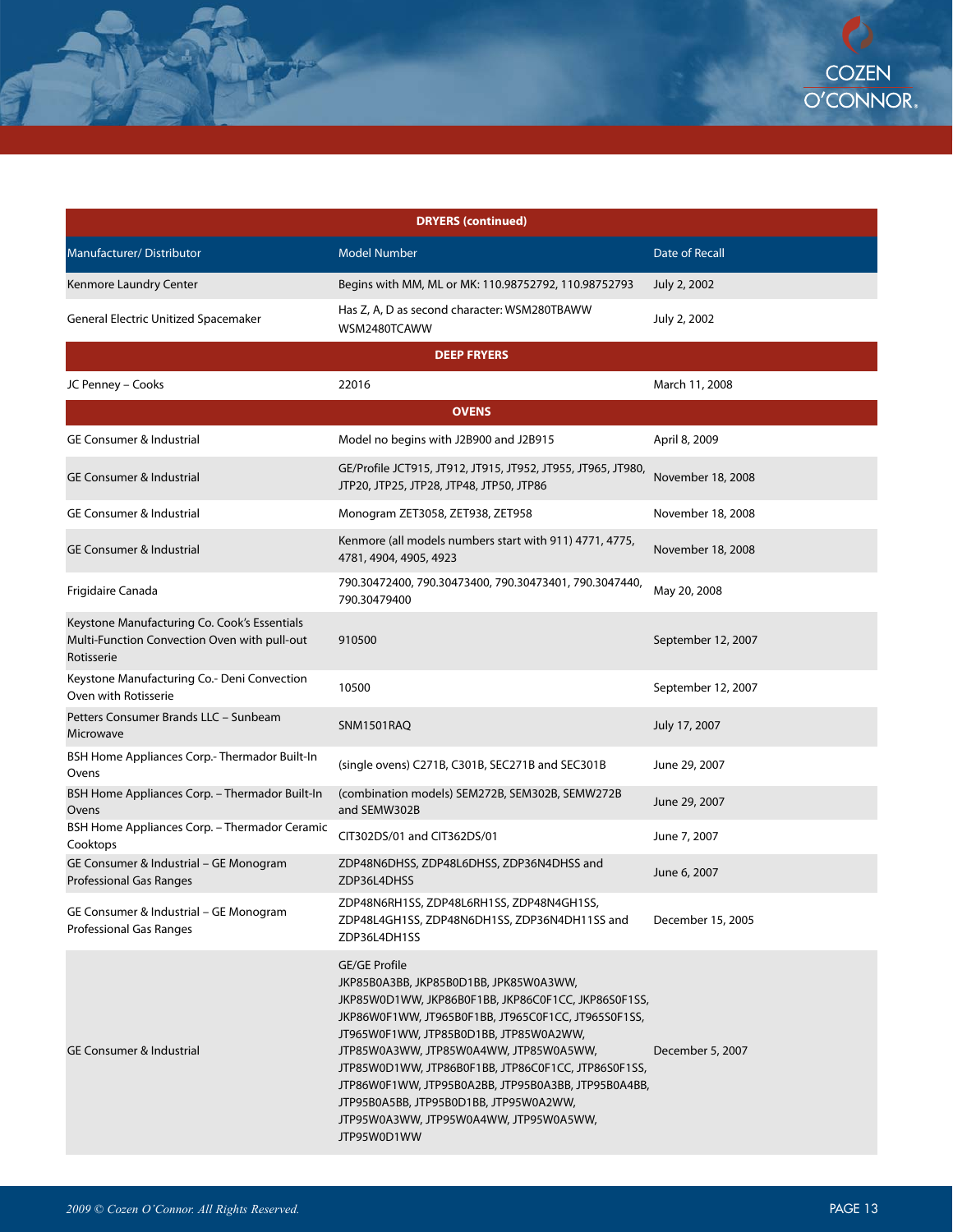| <b>DRYERS (continued)</b>                                                                                  |                                                                                                                                                                                                                                                                                                                                                                                                                                                                                   |                       |  |  |
|------------------------------------------------------------------------------------------------------------|-----------------------------------------------------------------------------------------------------------------------------------------------------------------------------------------------------------------------------------------------------------------------------------------------------------------------------------------------------------------------------------------------------------------------------------------------------------------------------------|-----------------------|--|--|
| Manufacturer/Distributor                                                                                   | <b>Model Number</b>                                                                                                                                                                                                                                                                                                                                                                                                                                                               | <b>Date of Recall</b> |  |  |
| Kenmore Laundry Center                                                                                     | Begins with MM, ML or MK: 110.98752792, 110.98752793                                                                                                                                                                                                                                                                                                                                                                                                                              | July 2, 2002          |  |  |
| General Electric Unitized Spacemaker                                                                       | Has Z, A, D as second character: WSM280TBAWW<br>WSM2480TCAWW                                                                                                                                                                                                                                                                                                                                                                                                                      | July 2, 2002          |  |  |
| <b>DEEP FRYERS</b>                                                                                         |                                                                                                                                                                                                                                                                                                                                                                                                                                                                                   |                       |  |  |
| JC Penney - Cooks                                                                                          | 22016                                                                                                                                                                                                                                                                                                                                                                                                                                                                             | March 11, 2008        |  |  |
|                                                                                                            | <b>OVENS</b>                                                                                                                                                                                                                                                                                                                                                                                                                                                                      |                       |  |  |
| <b>GE Consumer &amp; Industrial</b>                                                                        | Model no begins with J2B900 and J2B915                                                                                                                                                                                                                                                                                                                                                                                                                                            | April 8, 2009         |  |  |
| GE Consumer & Industrial                                                                                   | GE/Profile JCT915, JT912, JT915, JT952, JT955, JT965, JT980,<br>JTP20, JTP25, JTP28, JTP48, JTP50, JTP86                                                                                                                                                                                                                                                                                                                                                                          | November 18, 2008     |  |  |
| <b>GE Consumer &amp; Industrial</b>                                                                        | Monogram ZET3058, ZET938, ZET958                                                                                                                                                                                                                                                                                                                                                                                                                                                  | November 18, 2008     |  |  |
| <b>GE Consumer &amp; Industrial</b>                                                                        | Kenmore (all models numbers start with 911) 4771, 4775,<br>4781, 4904, 4905, 4923                                                                                                                                                                                                                                                                                                                                                                                                 | November 18, 2008     |  |  |
| Frigidaire Canada                                                                                          | 790.30472400, 790.30473400, 790.30473401, 790.3047440,<br>790.30479400                                                                                                                                                                                                                                                                                                                                                                                                            | May 20, 2008          |  |  |
| Keystone Manufacturing Co. Cook's Essentials<br>Multi-Function Convection Oven with pull-out<br>Rotisserie | 910500                                                                                                                                                                                                                                                                                                                                                                                                                                                                            | September 12, 2007    |  |  |
| Keystone Manufacturing Co.- Deni Convection<br>Oven with Rotisserie                                        | 10500                                                                                                                                                                                                                                                                                                                                                                                                                                                                             | September 12, 2007    |  |  |
| Petters Consumer Brands LLC - Sunbeam<br>Microwave                                                         | SNM1501RAQ                                                                                                                                                                                                                                                                                                                                                                                                                                                                        | July 17, 2007         |  |  |
| BSH Home Appliances Corp.- Thermador Built-In<br>Ovens                                                     | (single ovens) C271B, C301B, SEC271B and SEC301B                                                                                                                                                                                                                                                                                                                                                                                                                                  | June 29, 2007         |  |  |
| BSH Home Appliances Corp. - Thermador Built-In<br>Ovens                                                    | (combination models) SEM272B, SEM302B, SEMW272B<br>and SEMW302B                                                                                                                                                                                                                                                                                                                                                                                                                   | June 29, 2007         |  |  |
| BSH Home Appliances Corp. - Thermador Ceramic<br>Cooktops                                                  | CIT302DS/01 and CIT362DS/01                                                                                                                                                                                                                                                                                                                                                                                                                                                       | June 7, 2007          |  |  |
| GE Consumer & Industrial - GE Monogram<br><b>Professional Gas Ranges</b>                                   | ZDP48N6DHSS, ZDP48L6DHSS, ZDP36N4DHSS and<br>ZDP36L4DHSS                                                                                                                                                                                                                                                                                                                                                                                                                          | June 6, 2007          |  |  |
| GE Consumer & Industrial - GE Monogram<br>Professional Gas Ranges                                          | ZDP48N6RH1SS, ZDP48L6RH1SS, ZDP48N4GH1SS,<br>ZDP48L4GH1SS, ZDP48N6DH1SS, ZDP36N4DH11SS and<br>ZDP36L4DH1SS                                                                                                                                                                                                                                                                                                                                                                        | December 15, 2005     |  |  |
| <b>GE Consumer &amp; Industrial</b>                                                                        | <b>GE/GE Profile</b><br>JKP85B0A3BB, JKP85B0D1BB, JPK85W0A3WW,<br>JKP85W0D1WW, JKP86B0F1BB, JKP86C0F1CC, JKP86S0F1SS,<br>JKP86W0F1WW, JT965B0F1BB, JT965C0F1CC, JT965S0F1SS,<br>JT965W0F1WW, JTP85B0D1BB, JTP85W0A2WW,<br>JTP85W0A3WW, JTP85W0A4WW, JTP85W0A5WW,<br>JTP85W0D1WW, JTP86B0F1BB, JTP86C0F1CC, JTP86S0F1SS,<br>JTP86W0F1WW, JTP95B0A2BB, JTP95B0A3BB, JTP95B0A4BB,<br>JTP95B0A5BB, JTP95B0D1BB, JTP95W0A2WW,<br>JTP95W0A3WW, JTP95W0A4WW, JTP95W0A5WW,<br>JTP95W0D1WW | December 5, 2007      |  |  |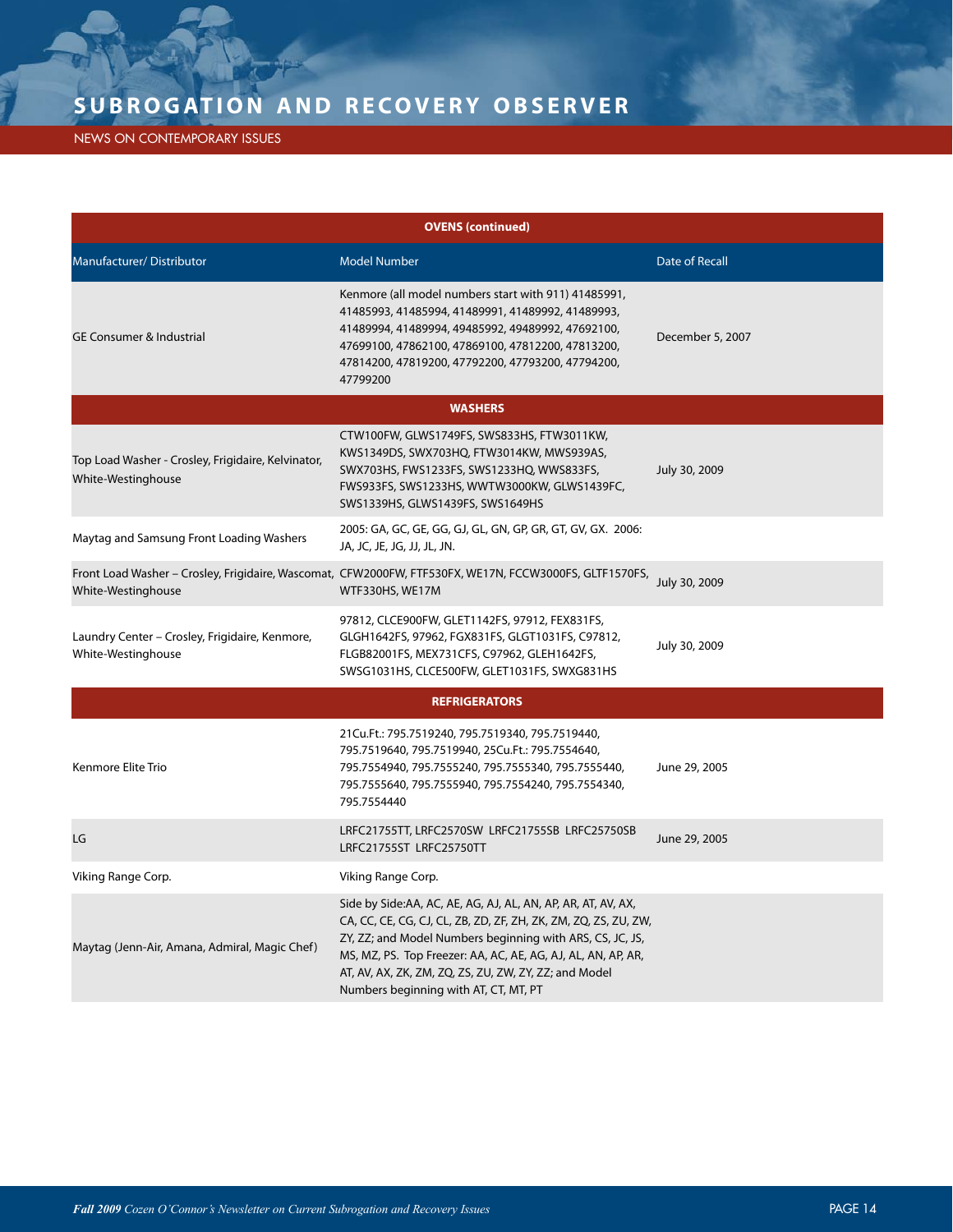NEWS ON CONTEMPORARY ISSUES

| <b>OVENS (continued)</b>                                                 |                                                                                                                                                                                                                                                                                                                                                                |                       |  |  |
|--------------------------------------------------------------------------|----------------------------------------------------------------------------------------------------------------------------------------------------------------------------------------------------------------------------------------------------------------------------------------------------------------------------------------------------------------|-----------------------|--|--|
| Manufacturer/Distributor                                                 | <b>Model Number</b>                                                                                                                                                                                                                                                                                                                                            | <b>Date of Recall</b> |  |  |
| <b>GE Consumer &amp; Industrial</b>                                      | Kenmore (all model numbers start with 911) 41485991,<br>41485993, 41485994, 41489991, 41489992, 41489993,<br>41489994, 41489994, 49485992, 49489992, 47692100,<br>47699100, 47862100, 47869100, 47812200, 47813200,<br>47814200, 47819200, 47792200, 47793200, 47794200,<br>47799200                                                                           | December 5, 2007      |  |  |
|                                                                          | <b>WASHERS</b>                                                                                                                                                                                                                                                                                                                                                 |                       |  |  |
| Top Load Washer - Crosley, Frigidaire, Kelvinator,<br>White-Westinghouse | CTW100FW, GLWS1749FS, SWS833HS, FTW3011KW,<br>KWS1349DS, SWX703HQ, FTW3014KW, MWS939AS,<br>SWX703HS, FWS1233FS, SWS1233HQ, WWS833FS,<br>FWS933FS, SWS1233HS, WWTW3000KW, GLWS1439FC,<br>SWS1339HS, GLWS1439FS, SWS1649HS                                                                                                                                       | July 30, 2009         |  |  |
| Maytag and Samsung Front Loading Washers                                 | 2005: GA, GC, GE, GG, GJ, GL, GN, GP, GR, GT, GV, GX. 2006:<br>JA, JC, JE, JG, JJ, JL, JN.                                                                                                                                                                                                                                                                     |                       |  |  |
| White-Westinghouse                                                       | Front Load Washer - Crosley, Frigidaire, Wascomat, CFW2000FW, FTF530FX, WE17N, FCCW3000FS, GLTF1570FS,<br>WTF330HS, WE17M                                                                                                                                                                                                                                      | July 30, 2009         |  |  |
| Laundry Center - Crosley, Frigidaire, Kenmore,<br>White-Westinghouse     | 97812, CLCE900FW, GLET1142FS, 97912, FEX831FS,<br>GLGH1642FS, 97962, FGX831FS, GLGT1031FS, C97812,<br>FLGB82001FS, MEX731CFS, C97962, GLEH1642FS,<br>SWSG1031HS, CLCE500FW, GLET1031FS, SWXG831HS                                                                                                                                                              | July 30, 2009         |  |  |
| <b>REFRIGERATORS</b>                                                     |                                                                                                                                                                                                                                                                                                                                                                |                       |  |  |
| Kenmore Elite Trio                                                       | 21Cu.Ft.: 795.7519240, 795.7519340, 795.7519440,<br>795.7519640, 795.7519940, 25Cu.Ft.: 795.7554640,<br>795.7554940, 795.7555240, 795.7555340, 795.7555440,<br>795.7555640, 795.7555940, 795.7554240, 795.7554340,<br>795.7554440                                                                                                                              | June 29, 2005         |  |  |
| LG                                                                       | LRFC21755TT, LRFC2570SW LRFC21755SB LRFC25750SB<br>LRFC21755ST LRFC25750TT                                                                                                                                                                                                                                                                                     | June 29, 2005         |  |  |
| Viking Range Corp.                                                       | Viking Range Corp.                                                                                                                                                                                                                                                                                                                                             |                       |  |  |
| Maytag (Jenn-Air, Amana, Admiral, Magic Chef)                            | Side by Side:AA, AC, AE, AG, AJ, AL, AN, AP, AR, AT, AV, AX,<br>CA, CC, CE, CG, CJ, CL, ZB, ZD, ZF, ZH, ZK, ZM, ZQ, ZS, ZU, ZW,<br>ZY, ZZ; and Model Numbers beginning with ARS, CS, JC, JS,<br>MS, MZ, PS. Top Freezer: AA, AC, AE, AG, AJ, AL, AN, AP, AR,<br>AT, AV, AX, ZK, ZM, ZQ, ZS, ZU, ZW, ZY, ZZ; and Model<br>Numbers beginning with AT, CT, MT, PT |                       |  |  |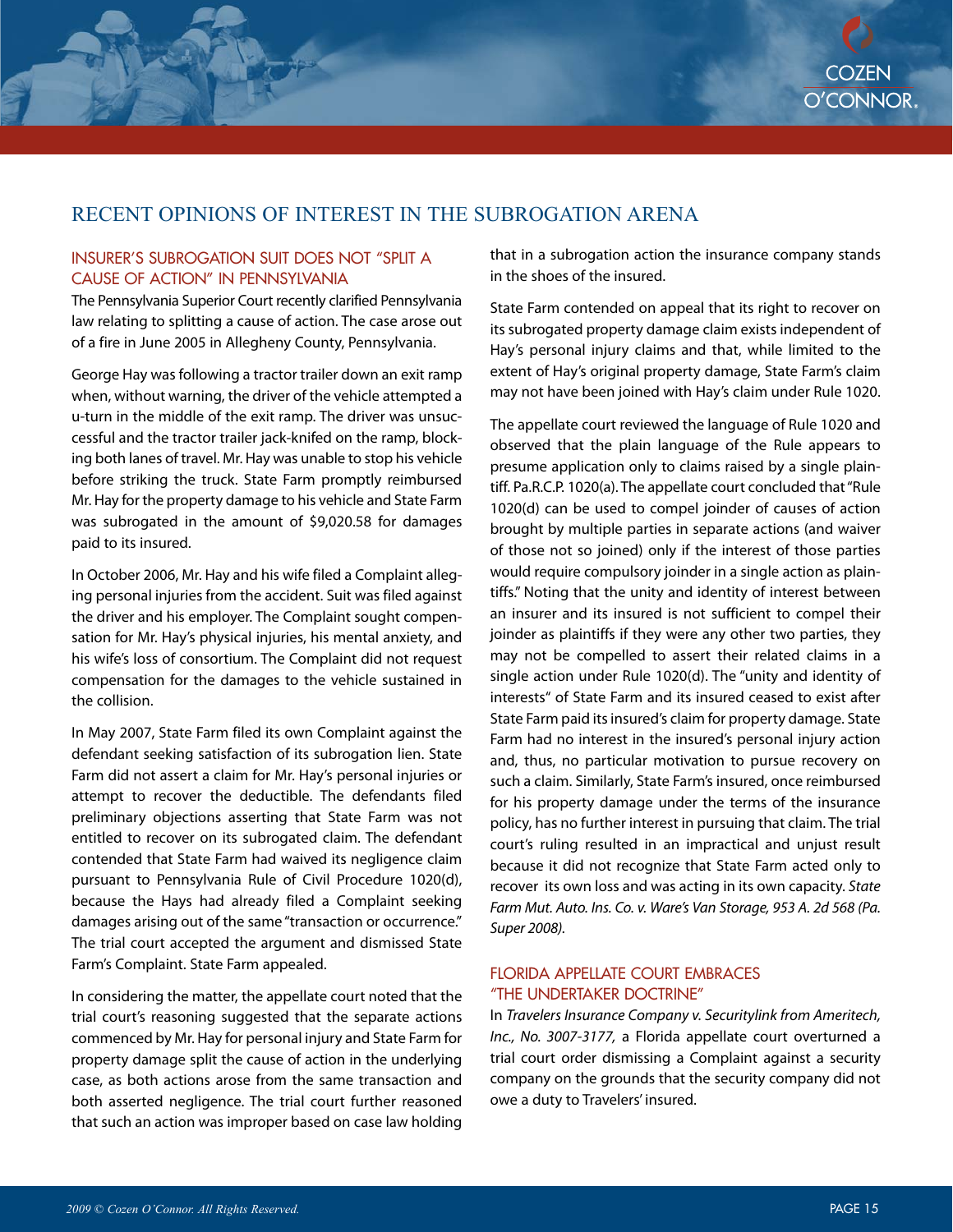## RECENT OPINIONS OF INTEREST IN THE SUBROGATION ARENA

#### INSURER'S SUBROGATION SUIT DOES NOT "SPLIT A CAUSE OF ACTION" IN PENNSYLVANIA

The Pennsylvania Superior Court recently clarified Pennsylvania law relating to splitting a cause of action. The case arose out of a fire in June 2005 in Allegheny County, Pennsylvania.

George Hay was following a tractor trailer down an exit ramp when, without warning, the driver of the vehicle attempted a u-turn in the middle of the exit ramp. The driver was unsuccessful and the tractor trailer jack-knifed on the ramp, blocking both lanes of travel. Mr. Hay was unable to stop his vehicle before striking the truck. State Farm promptly reimbursed Mr. Hay for the property damage to his vehicle and State Farm was subrogated in the amount of \$9,020.58 for damages paid to its insured.

In October 2006, Mr. Hay and his wife filed a Complaint alleging personal injuries from the accident. Suit was filed against the driver and his employer. The Complaint sought compensation for Mr. Hay's physical injuries, his mental anxiety, and his wife's loss of consortium. The Complaint did not request compensation for the damages to the vehicle sustained in the collision.

In May 2007, State Farm filed its own Complaint against the defendant seeking satisfaction of its subrogation lien. State Farm did not assert a claim for Mr. Hay's personal injuries or attempt to recover the deductible. The defendants filed preliminary objections asserting that State Farm was not entitled to recover on its subrogated claim. The defendant contended that State Farm had waived its negligence claim pursuant to Pennsylvania Rule of Civil Procedure 1020(d), because the Hays had already filed a Complaint seeking damages arising out of the same "transaction or occurrence." The trial court accepted the argument and dismissed State Farm's Complaint. State Farm appealed.

In considering the matter, the appellate court noted that the trial court's reasoning suggested that the separate actions commenced by Mr. Hay for personal injury and State Farm for property damage split the cause of action in the underlying case, as both actions arose from the same transaction and both asserted negligence. The trial court further reasoned that such an action was improper based on case law holding

that in a subrogation action the insurance company stands in the shoes of the insured.

State Farm contended on appeal that its right to recover on its subrogated property damage claim exists independent of Hay's personal injury claims and that, while limited to the extent of Hay's original property damage, State Farm's claim may not have been joined with Hay's claim under Rule 1020.

The appellate court reviewed the language of Rule 1020 and observed that the plain language of the Rule appears to presume application only to claims raised by a single plaintiff. Pa.R.C.P. 1020(a). The appellate court concluded that "Rule 1020(d) can be used to compel joinder of causes of action brought by multiple parties in separate actions (and waiver of those not so joined) only if the interest of those parties would require compulsory joinder in a single action as plaintiffs." Noting that the unity and identity of interest between an insurer and its insured is not sufficient to compel their joinder as plaintiffs if they were any other two parties, they may not be compelled to assert their related claims in a single action under Rule 1020(d). The "unity and identity of interests" of State Farm and its insured ceased to exist after State Farm paid its insured's claim for property damage. State Farm had no interest in the insured's personal injury action and, thus, no particular motivation to pursue recovery on such a claim. Similarly, State Farm's insured, once reimbursed for his property damage under the terms of the insurance policy, has no further interest in pursuing that claim. The trial court's ruling resulted in an impractical and unjust result because it did not recognize that State Farm acted only to recover its own loss and was acting in its own capacity. State Farm Mut. Auto. Ins. Co. v. Ware's Van Storage, 953 A. 2d 568 (Pa. Super 2008).

#### FLORIDA APPELLATE COURT EMBRACES "THE UNDERTAKER DOCTRINE"

In Travelers Insurance Company v. Securitylink from Ameritech, Inc., No. 3007-3177, a Florida appellate court overturned a trial court order dismissing a Complaint against a security company on the grounds that the security company did not owe a duty to Travelers' insured.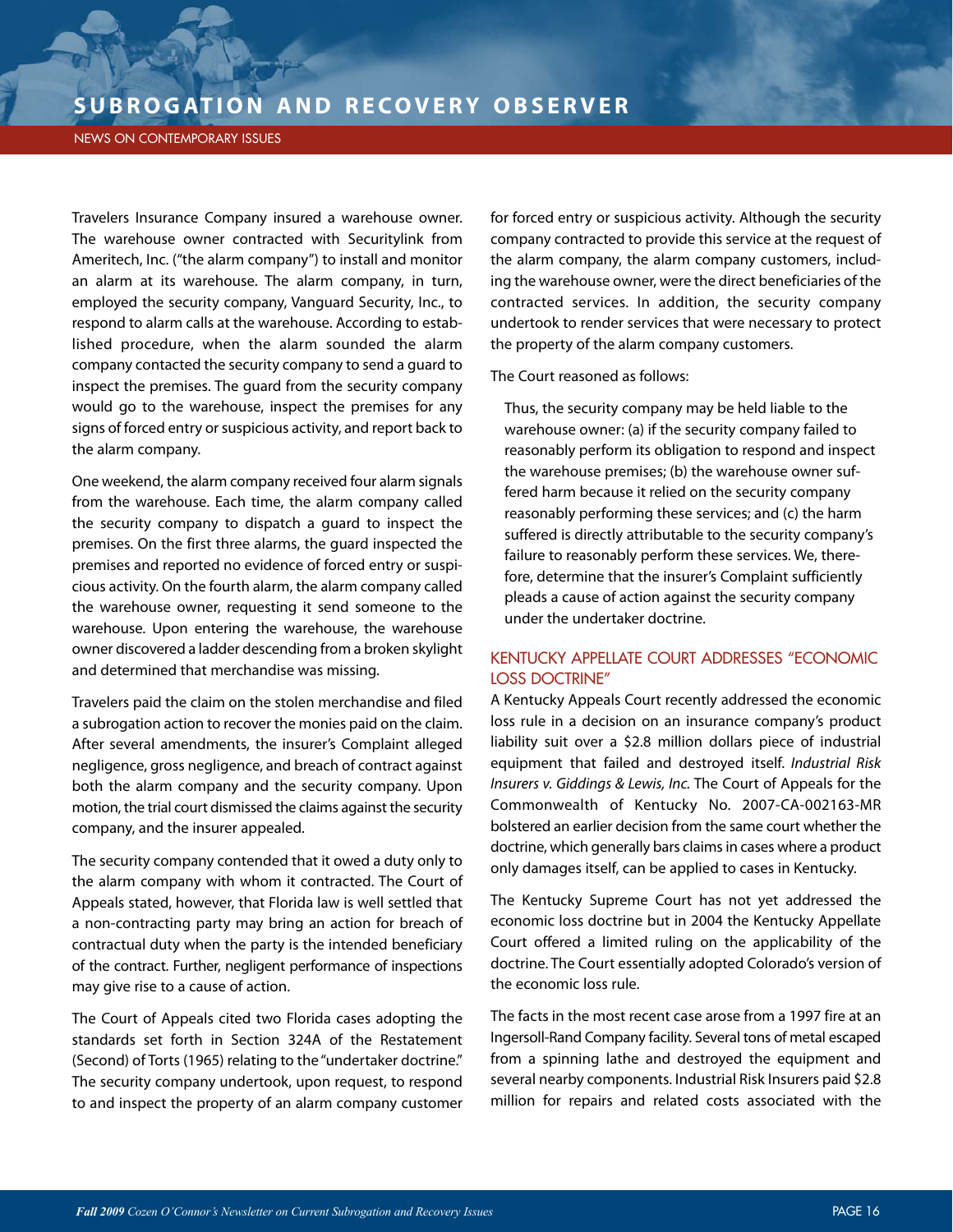#### NEWS ON CONTEMPORARY ISSUES

Travelers Insurance Company insured a warehouse owner. The warehouse owner contracted with Securitylink from Ameritech, Inc. ("the alarm company") to install and monitor an alarm at its warehouse. The alarm company, in turn, employed the security company, Vanguard Security, Inc., to respond to alarm calls at the warehouse. According to established procedure, when the alarm sounded the alarm company contacted the security company to send a guard to inspect the premises. The guard from the security company would go to the warehouse, inspect the premises for any signs of forced entry or suspicious activity, and report back to the alarm company.

One weekend, the alarm company received four alarm signals from the warehouse. Each time, the alarm company called the security company to dispatch a guard to inspect the premises. On the first three alarms, the guard inspected the premises and reported no evidence of forced entry or suspicious activity. On the fourth alarm, the alarm company called the warehouse owner, requesting it send someone to the warehouse. Upon entering the warehouse, the warehouse owner discovered a ladder descending from a broken skylight and determined that merchandise was missing.

Travelers paid the claim on the stolen merchandise and filed a subrogation action to recover the monies paid on the claim. After several amendments, the insurer's Complaint alleged negligence, gross negligence, and breach of contract against both the alarm company and the security company. Upon motion, the trial court dismissed the claims against the security company, and the insurer appealed.

The security company contended that it owed a duty only to the alarm company with whom it contracted. The Court of Appeals stated, however, that Florida law is well settled that a non-contracting party may bring an action for breach of contractual duty when the party is the intended beneficiary of the contract. Further, negligent performance of inspections may give rise to a cause of action.

The Court of Appeals cited two Florida cases adopting the standards set forth in Section 324A of the Restatement (Second) of Torts (1965) relating to the "undertaker doctrine." The security company undertook, upon request, to respond to and inspect the property of an alarm company customer for forced entry or suspicious activity. Although the security company contracted to provide this service at the request of the alarm company, the alarm company customers, including the warehouse owner, were the direct beneficiaries of the contracted services. In addition, the security company undertook to render services that were necessary to protect the property of the alarm company customers.

The Court reasoned as follows:

Thus, the security company may be held liable to the warehouse owner: (a) if the security company failed to reasonably perform its obligation to respond and inspect the warehouse premises; (b) the warehouse owner suffered harm because it relied on the security company reasonably performing these services; and (c) the harm suffered is directly attributable to the security company's failure to reasonably perform these services. We, therefore, determine that the insurer's Complaint sufficiently pleads a cause of action against the security company under the undertaker doctrine.

#### KENTUCKY APPELLATE COURT ADDRESSES "ECONOMIC LOSS DOCTRINE"

A Kentucky Appeals Court recently addressed the economic loss rule in a decision on an insurance company's product liability suit over a \$2.8 million dollars piece of industrial equipment that failed and destroyed itself. Industrial Risk Insurers v. Giddings & Lewis, Inc. The Court of Appeals for the Commonwealth of Kentucky No. 2007-CA-002163-MR bolstered an earlier decision from the same court whether the doctrine, which generally bars claims in cases where a product only damages itself, can be applied to cases in Kentucky.

The Kentucky Supreme Court has not yet addressed the economic loss doctrine but in 2004 the Kentucky Appellate Court offered a limited ruling on the applicability of the doctrine. The Court essentially adopted Colorado's version of the economic loss rule.

The facts in the most recent case arose from a 1997 fire at an Ingersoll-Rand Company facility. Several tons of metal escaped from a spinning lathe and destroyed the equipment and several nearby components. Industrial Risk Insurers paid \$2.8 million for repairs and related costs associated with the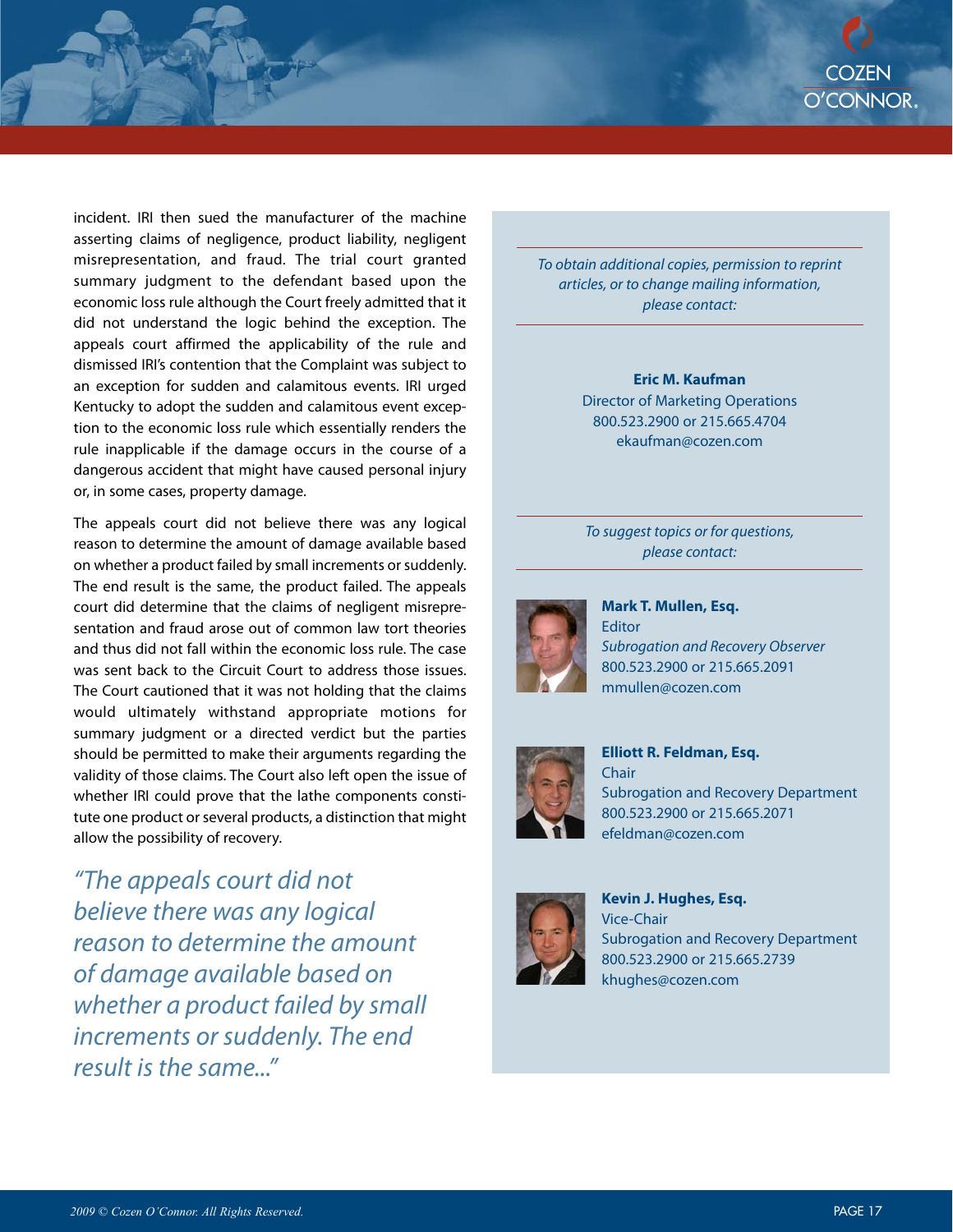incident. IRI then sued the manufacturer of the machine asserting claims of negligence, product liability, negligent misrepresentation, and fraud. The trial court granted summary judgment to the defendant based upon the economic loss rule although the Court freely admitted that it did not understand the logic behind the exception. The appeals court affirmed the applicability of the rule and dismissed IRI's contention that the Complaint was subject to an exception for sudden and calamitous events. IRI urged Kentucky to adopt the sudden and calamitous event exception to the economic loss rule which essentially renders the rule inapplicable if the damage occurs in the course of a dangerous accident that might have caused personal injury or, in some cases, property damage.

The appeals court did not believe there was any logical reason to determine the amount of damage available based on whether a product failed by small increments or suddenly. The end result is the same, the product failed. The appeals court did determine that the claims of negligent misrepresentation and fraud arose out of common law tort theories and thus did not fall within the economic loss rule. The case was sent back to the Circuit Court to address those issues. The Court cautioned that it was not holding that the claims would ultimately withstand appropriate motions for summary judgment or a directed verdict but the parties should be permitted to make their arguments regarding the validity of those claims. The Court also left open the issue of whether IRI could prove that the lathe components constitute one product or several products, a distinction that might allow the possibility of recovery.

"The appeals court did not believe there was any logical reason to determine the amount of damage available based on whether a product failed by small increments or suddenly. The end result is the same."

To obtain additional copies, permission to reprint articles, or to change mailing information, please contact:

#### **Eric M. Kaufman** Director of Marketing Operations 800.523.2900 or 215.665.4704 ekaufman@cozen.com

To suggest topics or for questions, please contact:



**Mark T. Mullen, Esq.** Editor Subrogation and Recovery Observer 800.523.2900 or 215.665.2091 mmullen@cozen.com



**Elliott R. Feldman, Esq. Chair** Subrogation and Recovery Department 800.523.2900 or 215.665.2071 efeldman@cozen.com



**Kevin J. Hughes, Esq.** Vice-Chair Subrogation and Recovery Department 800.523.2900 or 215.665.2739 khughes@cozen.com